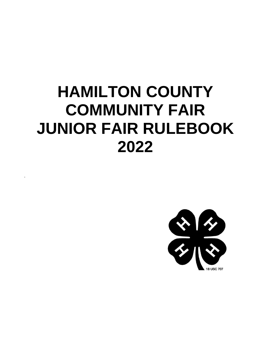# **HAMILTON COUNTY COMMUNITY FAIR JUNIOR FAIR RULEBOOK 2022**

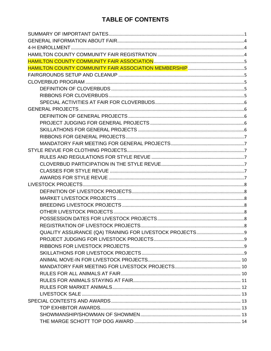## TABLE OF CONTENTS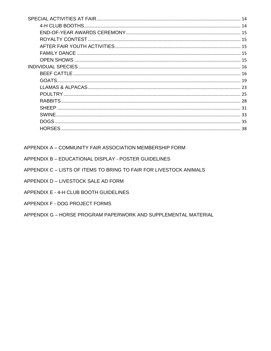| 15         |  |
|------------|--|
|            |  |
|            |  |
|            |  |
|            |  |
|            |  |
|            |  |
|            |  |
|            |  |
|            |  |
| 33         |  |
| DOGS<br>35 |  |
| 38         |  |

APPENDIX A - COMMUNITY FAIR ASSOCIATION MEMBERSHIP FORM

APPENDIX B - EDUCATIONAL DISPLAY - POSTER GUIDELINES

APPENDIX C - LISTS OF ITEMS TO BRING TO FAIR FOR LIVESTOCK ANIMALS

APPENDIX D - LIVESTOCK SALE AD FORM

APPENDIX E - 4-H CLUB BOOTH GUIDELINES

APPENDIX F - DOG PROJECT FORMS

APPENDIX G - HORSE PROGRAM PAPERWORK AND SUPPLEMENTAL MATERIAL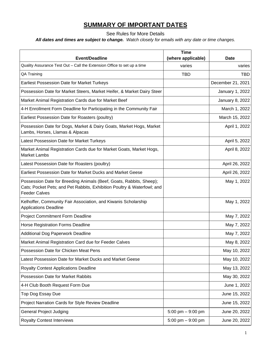## **SUMMARY OF IMPORTANT DATES**

See Rules for More Details

<span id="page-3-0"></span>*All dates and times are subject to change. Watch closely for emails with any date or time changes.*

| <b>Event/Deadline</b>                                                                                                                                                  | <b>Time</b><br>(where applicable) | <b>Date</b>       |
|------------------------------------------------------------------------------------------------------------------------------------------------------------------------|-----------------------------------|-------------------|
| Quality Assurance Test Out - Call the Extension Office to set up a time                                                                                                | varies                            | varies            |
| QA Training                                                                                                                                                            | <b>TBD</b>                        | <b>TBD</b>        |
| Earliest Possession Date for Market Turkeys                                                                                                                            |                                   | December 21, 2021 |
| Possession Date for Market Steers, Market Heifer, & Market Dairy Steer                                                                                                 |                                   | January 1, 2022   |
| Market Animal Registration Cards due for Market Beef                                                                                                                   |                                   | January 8, 2022   |
| 4-H Enrollment Form Deadline for Participating in the Community Fair                                                                                                   |                                   | March 1, 2022     |
| Earliest Possession Date for Roasters (poultry)                                                                                                                        |                                   | March 15, 2022    |
| Possession Date for Dogs, Market & Dairy Goats, Market Hogs, Market<br>Lambs, Horses, Llamas & Alpacas                                                                 |                                   | April 1, 2022     |
| Latest Possession Date for Market Turkeys                                                                                                                              |                                   | April 5, 2022     |
| Market Animal Registration Cards due for Market Goats, Market Hogs,<br><b>Market Lambs</b>                                                                             |                                   | April 8, 2022     |
| Latest Possession Date for Roasters (poultry)                                                                                                                          |                                   | April 26, 2022    |
| Earliest Possession Date for Market Ducks and Market Geese                                                                                                             |                                   | April 26, 2022    |
| Possession Date for Breeding Animals (Beef, Goats, Rabbits, Sheep);<br>Cats; Pocket Pets; and Pet Rabbits, Exhibition Poultry & Waterfowl; and<br><b>Feeder Calves</b> |                                   | May 1, 2022       |
| Kelhoffer, Community Fair Association, and Kiwanis Scholarship<br><b>Applications Deadline</b>                                                                         |                                   | May 1, 2022       |
| <b>Project Commitment Form Deadline</b>                                                                                                                                |                                   | May 7, 2022       |
| Horse Registration Forms Deadline                                                                                                                                      |                                   | May 7, 2022       |
| <b>Additional Dog Paperwork Deadline</b>                                                                                                                               |                                   | May 7, 2022       |
| Market Animal Registration Card due for Feeder Calves                                                                                                                  |                                   | May 8, 2022       |
| Possession Date for Chicken Meat Pens                                                                                                                                  |                                   | May 10, 2022      |
| Latest Possession Date for Market Ducks and Market Geese                                                                                                               |                                   | May 10, 2022      |
| <b>Royalty Contest Applications Deadline</b>                                                                                                                           |                                   | May 13, 2022      |
| <b>Possession Date for Market Rabbits</b>                                                                                                                              |                                   | May 30, 2022      |
| 4-H Club Booth Request Form Due                                                                                                                                        |                                   | June 1, 2022      |
| Top Dog Essay Due                                                                                                                                                      |                                   | June 15, 2022     |
| Project Narration Cards for Style Review Deadline                                                                                                                      |                                   | June 15, 2022     |
| <b>General Project Judging</b>                                                                                                                                         | 5:00 pm $-9:00$ pm                | June 20, 2022     |
| <b>Royalty Contest Interviews</b>                                                                                                                                      | 5:00 pm $-9:00$ pm                | June 20, 2022     |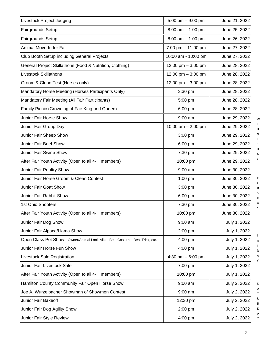| Livestock Project Judging                                                     | 5:00 pm $-9:00$ pm   | June 21, 2022 |  |
|-------------------------------------------------------------------------------|----------------------|---------------|--|
| Fairgrounds Setup                                                             | $8:00$ am $-1:00$ pm | June 25, 2022 |  |
| Fairgrounds Setup                                                             | $8:00$ am $-1:00$ pm | June 26, 2022 |  |
| Animal Move-In for Fair                                                       | 7:00 pm $-$ 11:00 pm | June 27, 2022 |  |
| Club Booth Setup including General Projects                                   | 10:00 am - 10:00 pm  | June 27, 2022 |  |
| General Project Skillathons (Food & Nutrition, Clothing)                      | 12:00 pm - 3:00 pm   | June 28, 2022 |  |
| <b>Livestock Skillathons</b>                                                  | 12:00 pm $-3:00$ pm  | June 28, 2022 |  |
| Groom & Clean Test (Horses only)                                              | 12:00 pm $-3:00$ pm  | June 28, 2022 |  |
| Mandatory Horse Meeting (Horses Participants Only)                            | 3:30 pm              | June 28, 2022 |  |
| Mandatory Fair Meeting (All Fair Participants)                                | 5:00 pm              | June 28, 2022 |  |
| Family Picnic (Crowning of Fair King and Queen)                               | 6:00 pm              | June 28, 2022 |  |
| Junior Fair Horse Show                                                        | 9:00 am              | June 29, 2022 |  |
| Junior Fair Group Day                                                         | 10:00 am $-$ 2:00 pm | June 29, 2022 |  |
| Junior Fair Sheep Show                                                        | 3:00 pm              | June 29, 2022 |  |
| Junior Fair Beef Show                                                         | 6:00 pm              | June 29, 2022 |  |
| Junior Fair Swine Show                                                        | 7:30 pm              | June 29, 2022 |  |
| After Fair Youth Activity (Open to all 4-H members)                           | 10:00 pm             | June 29, 2022 |  |
| Junior Fair Poultry Show                                                      | $9:00$ am            | June 30, 2022 |  |
| Junior Fair Horse Groom & Clean Contest                                       | $1:00$ pm            | June 30, 2022 |  |
| Junior Fair Goat Show                                                         | $3:00$ pm            | June 30, 2022 |  |
| Junior Fair Rabbit Show                                                       | 6:00 pm              | June 30, 2022 |  |
| 1st Ohio Shooters                                                             | 7:30 pm              | June 30, 2022 |  |
| After Fair Youth Activity (Open to all 4-H members)                           | 10:00 pm             | June 30, 2022 |  |
| Junior Fair Dog Show                                                          | $9:00$ am            | July 1, 2022  |  |
| Junior Fair Alpaca/Llama Show                                                 | 2:00 pm              | July 1, 2022  |  |
| Open Class Pet Show - Owner/Animal Look Alike, Best Costume, Best Trick, etc. | $4:00$ pm            | July 1, 2022  |  |
| Junior Fair Horse Fun Show                                                    | $4:00$ pm            | July 1, 2022  |  |
| Livestock Sale Registration                                                   | 4:30 pm $-6:00$ pm   | July 1, 2022  |  |
| Junior Fair Livestock Sale                                                    | 7:00 pm              | July 1, 2022  |  |
| After Fair Youth Activity (Open to all 4-H members)                           | 10:00 pm             | July 1, 2022  |  |
| Hamilton County Community Fair Open Horse Show                                | 9:00 am              | July 2, 2022  |  |
| Joe A. Wurzelbacher Showman of Showmen Contest                                | 9:00 am              | July 2, 2022  |  |
| Junior Fair Bakeoff                                                           | 12:30 pm             | July 2, 2022  |  |
| Junior Fair Dog Agility Show                                                  | 2:00 pm              | July 2, 2022  |  |
| Junior Fair Style Review                                                      | 4:00 pm              | July 2, 2022  |  |

E D N E S D A Y T H U

R S D A Y

W

F R I D

> A Y

S A T U R D

A Y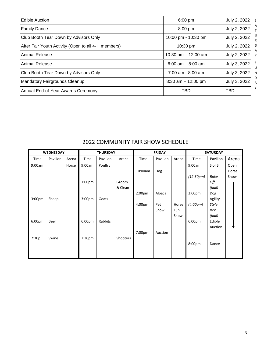| <b>Edible Auction</b>                               | $6:00 \text{ pm}$     | July 2, 2022<br>S.     |
|-----------------------------------------------------|-----------------------|------------------------|
| <b>Family Dance</b>                                 | 8:00 pm               | A<br>July 2, 2022      |
| Club Booth Tear Down by Advisors Only               | 10:00 pm - 10:30 pm   | U<br>July 2, 2022      |
| After Fair Youth Activity (Open to all 4-H members) | 10:30 pm              | July 2, 2022<br>D<br>A |
| Animal Release                                      | 10:30 pm $-$ 12:00 am | July 2, 2022           |
| Animal Release                                      | $6:00$ am $- 8:00$ am | S<br>July 3, 2022<br>U |
| Club Booth Tear Down by Advisors Only               | $7:00$ am - 8:00 am   | July 3, 2022<br>N      |
| <b>Mandatory Fairgrounds Cleanup</b>                | $8:30$ am $-12:00$ pm | D<br>July 3, 2022<br>A |
| Annual End-of-Year Awards Ceremony                  | TBD                   | Y<br>TBD               |

|                    | <b>WEDNESDAY</b> |       | <b>THURSDAY</b>    |          | <b>FRIDAY</b> |                    |          | <b>SATURDAY</b> |                    |              |       |
|--------------------|------------------|-------|--------------------|----------|---------------|--------------------|----------|-----------------|--------------------|--------------|-------|
| Time               | Pavilion         | Arena | Time               | Pavilion | Arena         | Time               | Pavilion | Arena           | Time               | Pavilion     | Arena |
| 9:00am             |                  | Horse | 9:00am             | Poultry  |               |                    |          |                 | 9:00am             | S of S       | Open  |
|                    |                  |       |                    |          |               | 10:00am            | Dog      |                 |                    |              | Horse |
|                    |                  |       |                    |          |               |                    |          |                 | (12:30pm)          | Bake         | Show  |
|                    |                  |       | 1:00 <sub>pm</sub> |          | Groom         |                    |          |                 |                    | Off          |       |
|                    |                  |       |                    |          | & Clean       |                    |          |                 |                    | (hall)       |       |
|                    |                  |       |                    |          |               | 2:00 <sub>pm</sub> | Alpaca   |                 | 2:00 <sub>pm</sub> | Dog          |       |
| 3:00 <sub>pm</sub> | Sheep            |       | 3:00 <sub>pm</sub> | Goats    |               |                    |          |                 |                    | Agility      |       |
|                    |                  |       |                    |          |               | 4:00 <sub>pm</sub> | Pet      | Horse           | (4:00pm)           | <b>Style</b> |       |
|                    |                  |       |                    |          |               |                    | Show     | Fun             |                    | Rev          |       |
|                    |                  |       |                    |          |               |                    |          | Show            |                    | (hall)       |       |
| 6:00pm             | Beef             |       | 6:00 <sub>pm</sub> | Rabbits  |               |                    |          |                 | 6:00 <sub>pm</sub> | Edible       |       |
|                    |                  |       |                    |          |               |                    |          |                 |                    | Auction      |       |
|                    |                  |       |                    |          |               | 7:00pm             | Auction  |                 |                    |              |       |
| 7:30p              | Swine            |       | 7:30pm             |          | Shooters      |                    |          |                 |                    |              |       |
|                    |                  |       |                    |          |               |                    |          |                 | 8:00pm             | Dance        |       |
|                    |                  |       |                    |          |               |                    |          |                 |                    |              |       |
|                    |                  |       |                    |          |               |                    |          |                 |                    |              |       |

## 2022 COMMUNITY FAIR SHOW SCHEDULE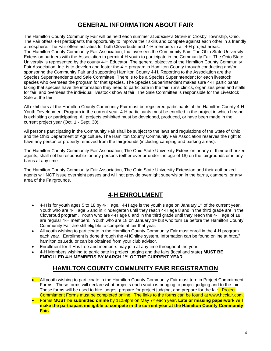## **GENERAL INFORMATION ABOUT FAIR**

<span id="page-6-0"></span>The Hamilton County Community Fair will be held each summer at *Stricker's Grove* in Crosby Township, Ohio. The Fair offers 4-H participants the opportunity to improve their skills and compete against each other in a friendly atmosphere. The Fair offers activities for both Cloverbuds and 4-H members in all 4-H project areas. The Hamilton County Community Fair Association, Inc. oversees the Community Fair. The Ohio State University Extension partners with the Association to permit 4-H youth to participate in the Community Fair. The Ohio State University is represented by the county 4-H Educator. The general objective of the Hamilton County Community Fair Association, Inc. is to develop and foster the 4-H program in Hamilton County through conducting and/or sponsoring the Community Fair and supporting Hamilton County 4-H. Reporting to the Association are the Species Superintendents and Sale Committee. There is to be a Species Superintendent for each livestock species who oversees the program for that species. The Species Superintendent makes sure 4-H participants taking that species have the information they need to participate in the fair, runs clinics, organizes pens and stalls for fair, and oversees the individual livestock show at fair. The Sale Committee is responsible for the Livestock Sale at the fair.

All exhibitors at the Hamilton County Community Fair must be registered participants of the Hamilton County 4-H Youth Development Program in the current year. 4-H participants must be enrolled in the project in which he/she is exhibiting or participating. All projects exhibited must be developed, produced, or have been made in the current project year (Oct. 1 - Sept. 30).

All persons participating in the Community Fair shall be subject to the laws and regulations of the State of Ohio and the Ohio Department of Agriculture. The Hamilton County Community Fair Association reserves the right to have any person or property removed from the fairgrounds (including camping and parking areas).

The Hamilton County Community Fair Association, The Ohio State University Extension or any of their authorized agents, shall not be responsible for any persons (either over or under the age of 18) on the fairgrounds or in any barns at any time.

The Hamilton County Community Fair Association, The Ohio State University Extension and their authorized agents will NOT issue overnight passes and will not provide overnight supervision in the barns, campers, or any area of the Fairgrounds.

## **4-H ENROLLMENT**

- <span id="page-6-1"></span>4-H is for youth ages 5 to 18 by 4-H age. 4-H age is the youth's age on January 1<sup>st</sup> of the current year. Youth who are 4-H age 5 and in Kindergarten until they reach 4-H age 8 and in the third grade are in the Cloverbud program. Youth who are 4-H age 8 and in the third grade until they reach the 4-H age of 18 are regular 4-H members. Youth who are 18 on January 1st but who turn 19 before the Hamilton County Community Fair are still eligible to compete at fair that year.
- All youth wishing to participate in the Hamilton County Community Fair must enroll in the 4-H program each year. Enrollment is done through the 4HOnline system. Information can be found online at http:// hamilton.osu.edu or can be obtained from your club advisor.
- Enrollment for 4-H is free and members may join at any time throughout the year.
- 4-H Members wishing to participate in project judging and the fairs (local and state) **MUST BE ENROLLED 4-H MEMBERS BY MARCH 1ST OF THE CURRENT YEAR.**

## **HAMILTON COUNTY COMMUNITY FAIR REGISTRATION**

- <span id="page-6-2"></span>• All youth wishing to participate in the Hamilton County Community Fair must turn in Project Commitment Forms. These forms will declare what projects each youth is bringing to project judging and to the fair. These forms will be used to hire judges, prepare for project judging, and prepare for the fair. Project Commitment Forms must be completed online. The links to the forms can be found at www.hccfair.com.
- **Forms MUST** be **submitted online** by 11:59pm on May 7<sup>th</sup> each year. Late or missing paperwork will **make the participant ineligible to compete in the current year at the Hamilton County Community Fair.**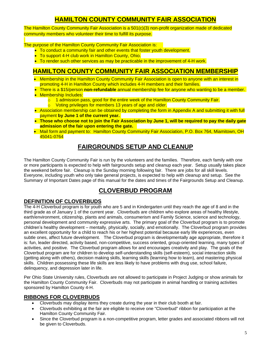## **HAMILTON COUNTY COMMUNITY FAIR ASSOCIATION**

<span id="page-7-0"></span>The Hamilton County Community Fair Association is a 501(c)(3) non-profit organization made of dedicated community members who volunteer their time to fulfill its purpose.

The purpose of the Hamilton County Community Fair Association is:

- To conduct a community fair and other events that foster youth development.
- To support 4-H club work in Hamilton County, Ohio.
- To render such other services as may be practicable in the improvement of 4-H work.

## <span id="page-7-1"></span>**HAMILTON COUNTY COMMUNITY FAIR ASSOCIATION MEMBERSHIP**

- Membership in the Hamilton County Community Fair Association is open to anyone with an interest in promoting 4-H in Hamilton County which includes 4-H members and their families.
- There is a \$15/person **non-refundable** annual membership fee for anyone who wanting to be a member. • Membership Includes:
	- $\circ$  1 admission pass, good for the entire week of the Hamilton County Community Fair.
	- o Voting privileges for members 13 years of age and older.
- Association membership can be obtained by completing the form in [Appendix](https://www.hccfair.com/_files/ugd/bab9c8_688cdaff7e744102a71115709d3f8ded.pdf) A and submitting it with full payment **by June 1 of the current year.**
- Those who choose not to join the Fair Association by June 1, will be required to pay the daily gate **admission of the fair upon entering the gate.**
- Mail form and payment to: Hamilton County Community Fair Association, P.O. Box 764, Miamitown, OH 45041-0764

## **FAIRGROUNDS SETUP AND CLEANUP**

<span id="page-7-2"></span>The Hamilton County Community Fair is run by the volunteers and the families. Therefore, each family with one or more participants is expected to help with fairgrounds setup and cleanup each year. Setup usually takes place the weekend before fair. Cleanup is the Sunday morning following fair. There are jobs for all skill levels. Everyone, including youth who only take general projects, is expected to help with cleanup and setup. See the Summary of Important Dates page of this manual for the dates and times of the Fairgrounds Setup and Cleanup.

## **CLOVERBUD PROGRAM**

### <span id="page-7-4"></span><span id="page-7-3"></span>**DEFINITION OF CLOVERBUDS**

The 4-H Cloverbud program is for youth who are 5 and in Kindergarten until they reach the age of 8 and in the third grade as of January 1 of the current year. Cloverbuds are children who explore areas of healthy lifestyle, earth/environment, citizenship, plants and animals, consumerism and Family Science, science and technology, personal development and community expressive arts. The primary goal of the Cloverbud program is to promote children's healthy development – mentally, physically, socially, and emotionally. The Cloverbud program provides an excellent opportunity for a child to reach his or her highest potential because early life experiences, even subtle ones, affect future development. The Cloverbud program is developmentally age appropriate, therefore it is: fun, leader directed, activity based, non-competitive, success oriented, group-oriented learning, many types of activities, and positive. The Cloverbud program allows for and encourages creativity and play. The goals of the Cloverbud program are for children to develop self-understanding skills (self-esteem), social interaction skills (getting along with others), decision making skills, learning skills (learning how to learn), and mastering physical skills. Children possessing these life skills are less likely to have problems with drug use, school failure, delinquency, and depression later in life.

Per Ohio State University rules, Cloverbuds are not allowed to participate in Project Judging or show animals for the Hamilton County Community Fair. Cloverbuds may not participate in animal handling or training activities sponsored by Hamilton County 4-H.

### <span id="page-7-5"></span>**RIBBONS FOR CLOVERBUDS**

- Cloverbuds may display items they create during the year in their club booth at fair.
- Cloverbuds exhibiting at the fair are eligible to receive one "Cloverbud" ribbon for participation at the Hamilton County Community Fair.
- Since the Cloverbud program is a non-competitive program, letter grades and associated ribbons will not be given to Cloverbuds.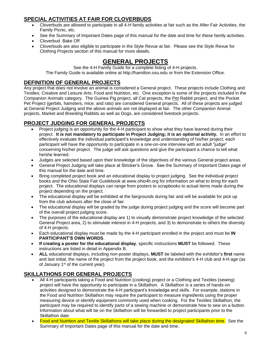## <span id="page-8-0"></span>**SPECIAL ACTIVITIES AT FAIR FOR CLOVERBUDS**

- Cloverbuds are allowed to participate in all 4-H family activities at fair such as the After Fair Activities, the Family Picnic, etc.
- See the Summary of Important Dates page of this manual for the date and time for these family activities.
- Cloverbud Bake Off
- <span id="page-8-1"></span>• Cloverbuds are also eligible to participate in the Style Revue at fair. Please see the Style Revue for Clothing Projects section of this manual for more details.

## **GENERAL PROJECTS**

See the 4-H Family Guide for a complete listing of 4-H projects. The Family Guide is available online at [http://hamilton.osu.edu](http://hamilton.osu.edu/) or from the Extension Office.

#### <span id="page-8-2"></span>**DEFINITION OF GENERAL PROJECTS**

Any project that does not involve an animal is considered a General project. These projects include Clothing and Textiles; Creative and Leisure Arts; Food and Nutrition, etc. One exception is some of the projects included in the Companion Animals category. The Guinea Pig project, all Cat projects, the Pet Rabbit project, and the Pocket Pet Project (gerbils, hamsters, mice, and rats) are considered General projects. All of these projects are judged at General Project Judging and the above animals are not displayed at fair. The other Companion Animal projects, Market and Breeding Rabbits as well as Dogs, are considered livestock projects.

### <span id="page-8-3"></span>**PROJECT JUDGING FOR GENERAL PROJECTS**

- Project judging is an opportunity for the 4-H participant to show what they have learned during their project. **It is not mandatory to participate in Project Judging; it is an optional activity.** In an effort to effectively evaluate the individual participant's knowledge and understanding of his/her project, each participant will have the opportunity to participate in a one-on-one interview with an adult "judge" concerning his/her project. The judge will ask questions and give the participant a chance to tell what he/she learned.
- Judges are selected based upon their knowledge of the objectives of the various General project areas.
- General Project Judging will take place at Stricker's Grove. See the Summary of Important Dates page of this manual for the date and time.
- Bring completed project book and an educational display to project judging. See the individual project books and the Ohio State Fair Guidebook at www.ohio4h.org for information on what to bring for each project. The educational displays can range from posters to scrapbooks to actual items made during the project depending on the project.
- The educational display will be exhibited at the fairgrounds during fair and will be available for pick up from the club advisors after the close of fair.
- The educational display will be graded by the judge during project judging and the score will become part of the overall project judging score.
- The purposes of the educational display are 1) to visually demonstrate project knowledge of the selected General Project area, 2) to stimulate interest in 4-H projects, and 3) to demonstrate to others the diversity of 4-H projects.
- Each educational display must be made by the 4-H participant enrolled in the project and must be **IN PARTICIPANT'S OWN WORDS**.
- **If creating a poster for the educational display**, specific instructions **MUST** be followed. These instructions are listed in detail in Appendix B.
- **ALL** educational displays, including non-poster displays, **MUST** be labeled with the exhibitor's **first** name and last initial, the name of the project from the project book, and the exhibitor's 4-H club and 4-H age (as of January 1<sup>st</sup> of the current year).

## <span id="page-8-4"></span>**SKILLATHONS FOR GENERAL PROJECTS**

- All 4-H participants taking a Food and Nutrition (cooking) project or a Clothing and Textiles (sewing) project will have the opportunity to participate in a Skillathon. A Skillathon is a series of hands-on activities designed to demonstrate the 4-H participant's knowledge and skills. For example, stations in the Food and Nutrition Skillathon may require the participant to measure ingredients using the proper measuring device or identify equipment commonly used when cooking. For the Textiles Skillathon, the participant may be required to identify parts of a sewing machine or demonstrate how to sew on a button. Information about what will be on the Skillathon will be forwarded to project participants prior to the Skillathon date.
- Food and Nutrition and Textile Skillathons will take place during the designated Skillathon time. See the Summary of Important Dates page of this manual for the date and time.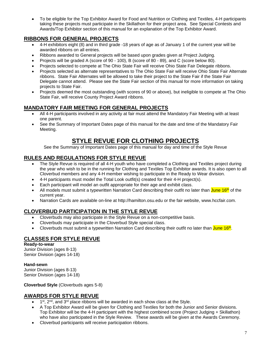• To be eligible for the Top Exhibitor Award for Food and Nutrition or Clothing and Textiles, 4-H participants taking these projects must participate in the Skillathon for their project area. See Special Contests and Awards/Top Exhibitor section of this manual for an explanation of the Top Exhibitor Award.

#### <span id="page-9-0"></span>**RIBBONS FOR GENERAL PROJECTS**

- 4-H exhibitors eight (8) and in third grade -18 years of age as of January 1 of the current year will be awarded ribbons on all entries.
- Ribbons awarded to General projects will be based upon grades given at Project Judging.
- Projects will be graded A (score of 90 100), B (score of 80 89), and C (score below 80).
- Projects selected to compete at The Ohio State Fair will receive Ohio State Fair Delegate ribbons.
- Projects selected as alternate representatives to The Ohio State Fair will receive Ohio State Fair Alternate ribbons. State Fair Alternates will be allowed to take their project to the State Fair if the State Fair Delegate cannot attend. Please see the State Fair section of this manual for more information on taking projects to State Fair.
- Projects deemed the most outstanding (with scores of 90 or above), but ineligible to compete at The Ohio State Fair, will receive County Project Award ribbons.

### <span id="page-9-1"></span>**MANDATORY FAIR MEETING FOR GENERAL PROJECTS**

- All 4-H participants involved in any activity at fair must attend the Mandatory Fair Meeting with at least one parent.
- See the Summary of Important Dates page of this manual for the date and time of the Mandatory Fair Meeting.

## **STYLE REVUE FOR CLOTHING PROJECTS**

See the Summary of Important Dates page of this manual for day and time of the Style Revue

#### <span id="page-9-3"></span><span id="page-9-2"></span>**RULES AND REGULATIONS FOR STYLE REVUE**

- The Style Revue is required of all 4-H youth who have completed a Clothing and Textiles project during the year who wish to be in the running for Clothing and Textiles Top Exhibitor awards. It is also open to all Cloverbud members and any 4-H member wishing to participate in the Ready to Wear division.
- 4-H participants must model the Total Look outfit(s) created for their 4-H project(s).
- Each participant will model an outfit appropriate for their age and exhibit class.
- All models must submit a typewritten Narration Card describing their outfit no later than  $\frac{J$ une 16<sup>th</sup> of the current year.
- Narration Cards are available on-line at [http://hamilton.osu.edu](http://hamilton.osu.edu/) or the fair website, [www.hccfair.com.](http://www.hccfair.com/)

#### <span id="page-9-4"></span>**CLOVERBUD PARTICIPATION IN THE STYLE REVUE**

- Cloverbuds may also participate in the Style Revue on a non-competitive basis.
- Cloverbuds may participate in the Cloverbud Style special class.
- Cloverbuds must submit a typewritten Narration Card describing their outfit no later than *June* 16<sup>th</sup>.

### <span id="page-9-5"></span>**CLASSES FOR STYLE REVUE**

**Ready-to-wear** Junior Division (ages 8-13) Senior Division (ages 14-18)

#### **Hand-sewn**

Junior Division (ages 8-13) Senior Division (ages 14-18)

**Cloverbud Style** (Cloverbuds ages 5-8)

### <span id="page-9-6"></span>**AWARDS FOR STYLE REVUE**

- $\bullet$  1<sup>st</sup>, 2<sup>nd</sup>, and 3<sup>rd</sup> place ribbons will be awarded in each show class at the Style.
- A Top Exhibitor Award will be given for Clothing and Textiles for both the Junior and Senior divisions. Top Exhibitor will be the 4-H participant with the highest combined score (Project Judging + Skillathon) who have also participated in the Style Review. These awards will be given at the Awards Ceremony.
- Cloverbud participants will receive participation ribbons.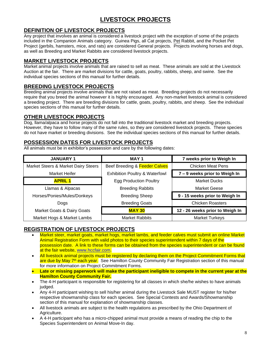## **LIVESTOCK PROJECTS**

### <span id="page-10-1"></span><span id="page-10-0"></span>**DEFINITION OF LIVESTOCK PROJECTS**

Any project that involves an animal is considered a livestock project with the exception of some of the projects included in the Companion Animals category. Guinea Pigs, all Cat projects, Pet Rabbit, and the Pocket Pet Project (gerbils, hamsters, mice, and rats) are considered General projects. Projects involving horses and dogs, as well as Breeding and Market Rabbits are considered livestock projects.

#### <span id="page-10-2"></span>**MARKET LIVESTOCK PROJECTS**

Market animal projects involve animals that are raised to sell as meat. These animals are sold at the Livestock Auction at the fair. There are market divisions for cattle, goats, poultry, rabbits, sheep, and swine. See the individual species sections of this manual for further details.

#### <span id="page-10-3"></span>**BREEDING LIVESTOCK PROJECTS**

Breeding animal projects involve animals that are not raised as meat. Breeding projects do not necessarily require that you breed the animal however it is highly encouraged. Any non-market livestock animal is considered a breeding project. There are breeding divisions for cattle, goats, poultry, rabbits, and sheep. See the individual species sections of this manual for further details.

#### <span id="page-10-4"></span>**OTHER LIVESTOCK PROJECTS**

Dog, llama/alpaca and horse projects do not fall into the traditional livestock market and breeding projects. However, they have to follow many of the same rules, so they are considered livestock projects. These species do not have market or breeding divisions. See the individual species sections of this manual for further details.

#### <span id="page-10-5"></span>**POSSESSION DATES FOR LIVESTOCK PROJECTS**

All animals must be in exhibitor's possession and care by the following dates:

| <b>JANUARY 1</b>                    | <b>MAY1</b>                               | 7 weeks prior to Weigh In       |  |
|-------------------------------------|-------------------------------------------|---------------------------------|--|
| Market Steers & Market Dairy Steers | Beef Breeding & Feeder Calves             | <b>Chicken Meat Pens</b>        |  |
| Market Heifer                       | <b>Exhibition Poultry &amp; Waterfowl</b> | 7 - 9 weeks prior to Weigh In   |  |
| <b>APRIL 1</b>                      | <b>Egg Production Poultry</b>             | <b>Market Ducks</b>             |  |
| Llamas & Alpacas                    | <b>Breeding Rabbits</b>                   | Market Geese                    |  |
| Horses/Ponies/Mules/Donkeys         | <b>Breeding Sheep</b>                     | 9 - 15 weeks prior to Weigh In  |  |
| Dogs                                | <b>Breeding Goats</b>                     | <b>Chicken Roasters</b>         |  |
| Market Goats & Dairy Goats          | <b>MAY 30</b>                             | 12 - 26 weeks prior to Weigh In |  |
| Market Hogs & Market Lambs          | <b>Market Rabbits</b>                     | <b>Market Turkeys</b>           |  |

#### <span id="page-10-6"></span>**REGISTRATION OF LIVESTOCK PROJECTS**

- Market steer, market goats, market hogs, market lambs, and feeder calves must submit an online Market Animal Registration Form with valid photos to their species superintendent within 7 days of the possession date. A link to these forms can be obtained from the species superintendent or can be found at the fair website, [www.hccfair.com.](http://www.hccfair.com/)
- All livestock animal projects must be registered by declaring them on the Project Commitment Forms that are due by May 7<sup>th</sup> each year. See Hamilton County Community Fair Registration section of this manual for more information on Project Commitment Forms.
- **Late or missing paperwork will make the participant ineligible to compete in the current year at the Hamilton County Community Fair.**
- The 4-H participant is responsible for registering for all classes in which she/he wishes to have animals judged.
- Any 4-H participant wishing to sell his/her animal during the Livestock Sale MUST register for his/her respective showmanship class for each species. See Special Contests and Awards/Showmanship section of this manual for explanation of showmanship classes.
- All livestock animals are subject to the health regulations as prescribed by the Ohio Department of Agriculture.
- A 4-H participant who has a micro-chipped animal must provide a means of reading the chip to the Species Superintendent on Animal Move-In day.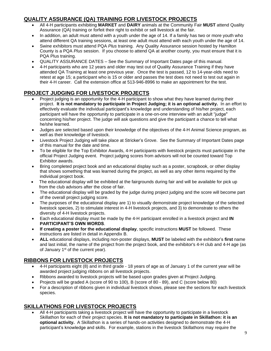## <span id="page-11-0"></span>**QUALITY ASSURANCE (QA) TRAINING FOR LIVESTOCK PROJECTS**

- All 4-H participants exhibiting **MARKET** and **DAIRY** animals at the Community Fair **MUST** attend Quality Assurance (QA) training or forfeit their right to exhibit or sell livestock at the fair.
- In addition, an adult must attend with a youth under the age of 14. If a family has two or more youth who attend different QA training sessions, at least one adult must attend with each youth under the age of 14.
- Swine exhibitors must attend PQA *Plus* training. Any Quality Assurance session hosted by Hamilton County is a PQA *Plus* session. If you choose to attend QA at another county, you must ensure that it is PQA Plus training.
- QUALITY ASSURANCE DATES See the Summary of Important Dates page of this manual.
- 4-H participants who are 12 years and older may test out of Quality Assurance Training if they have attended QA Training at least one previous year. Once the test is passed, 12 to 14-year-olds need to retest at age 15; a participant who is 15 or older and passes the test does not need to test out again in their 4-H career. Call the extension office at 513-946-8996 to make an appointment for the test.

### <span id="page-11-1"></span>**PROJECT JUDGING FOR LIVESTOCK PROJECTS**

- Project judging is an opportunity for the 4-H participant to show what they have learned during their project. **It is not mandatory to participate in Project Judging; it is an optional activity.** In an effort to effectively evaluate the individual participant's knowledge and understanding of his/her project, each participant will have the opportunity to participate in a one-on-one interview with an adult "judge" concerning his/her project. The judge will ask questions and give the participant a chance to tell what he/she learned.
- Judges are selected based upon their knowledge of the objectives of the 4-H Animal Science program, as well as their knowledge of livestock.
- Livestock Project Judging will take place at Stricker's Grove. See the Summary of Important Dates page of this manual for the date and time.
- To be eligible for the Top Exhibitor Awards, 4-H participants with livestock projects must participate in the official Project Judging event. Project judging scores from advisors will not be counted toward Top Exhibitor awards.
- Bring completed project book and an educational display such as a poster, scrapbook, or other display that shows something that was learned during the project, as well as any other items required by the individual project book.
- The educational display will be exhibited at the fairgrounds during fair and will be available for pick up from the club advisors after the close of fair.
- The educational display will be graded by the judge during project judging and the score will become part of the overall project judging score.
- The purposes of the educational display are 1) to visually demonstrate project knowledge of the selected livestock species, 2) to stimulate interest in 4-H livestock projects, and 3) to demonstrate to others the diversity of 4-H livestock projects.
- Each educational display must be made by the 4-H participant enrolled in a livestock project and **IN PARTICIPANT'S OWN WORDS**.
- **If creating a poster for the educational display**, specific instructions **MUST** be followed. These instructions are listed in detail in Appendix B.
- **ALL** educational displays, including non-poster displays, **MUST** be labeled with the exhibitor's **first** name and last initial, the name of the project from the project book, and the exhibitor's 4-H club and 4-H age (as of January 1<sup>st</sup> of the current year).

## <span id="page-11-2"></span>**RIBBONS FOR LIVESTOCK PROJECTS**

- 4-H participants eight (8) and in third grade 18 years of age as of January 1 of the current year will be awarded project judging ribbons on all livestock projects.
- Ribbons awarded to livestock projects will be based upon grades given at Project Judging.
- Projects will be graded A (score of 90 to 100), B (score of 80 89), and C (score below 80)
- For a description of ribbons given in individual livestock shows, please see the sections for each livestock species.

### <span id="page-11-3"></span>**SKILLATHONS FOR LIVESTOCK PROJECTS**

• All 4-H participants taking a livestock project will have the opportunity to participate in a livestock Skillathon for each of their project species. **It is not mandatory to participate in Skillathon: it is an optional activity.** A Skillathon is a series of hands-on activities designed to demonstrate the 4-H participant's knowledge and skills. For example, stations in the livestock Skillathons may require the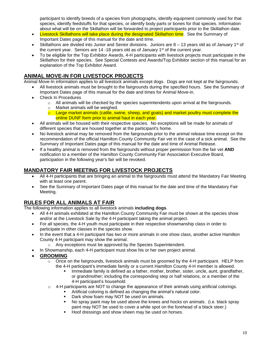participant to identify breeds of a species from photographs, identify equipment commonly used for that species, identify feedstuffs for that species, or identify body parts or bones for that species. Information about what will be on the Skillathon will be forwarded to project participants prior to the Skillathon date.

- Livestock Skillathons will take place during the designated Skillathon time. See the Summary of Important Dates page of this manual for the date and time.
- Skillathons are divided into Junior and Senior divisions. Juniors are  $8 13$  years old as of January 1<sup>st</sup> of the current year. Seniors are  $14 - 18$  years old as of January  $1<sup>st</sup>$  of the current year.
- To be eligible for the Top Exhibitor Awards, 4-H participants with livestock projects must participate in the Skillathon for their species. See Special Contests and Awards/Top Exhibitor section of this manual for an explanation of the Top Exhibitor Award.

### <span id="page-12-0"></span>**ANIMAL MOVE-IN FOR LIVESTOCK PROJECTS**

Animal Move-In information applies to all livestock animals except dogs. Dogs are not kept at the fairgrounds.

- All livestock animals must be brought to the fairgrounds during the specified hours. See the Summary of Important Dates page of this manual for the date and times for Animal Move-in.
- Check In Procedures
	- $\circ$  All animals will be checked by the species superintendents upon arrival at the fairgrounds.
	- o Market animals will be weighed.
	- $\circ$  Large market animals (cattle, swine, sheep, and goats) and market poultry must complete the online DUNF form prior to animal haul in each year.
- All animals will be housed with their respective species. No exceptions will be made for animals of different species that are housed together at the participant's home.
- No livestock animal may be removed from the fairgrounds prior to the animal release time except on the recommendation of the official Hamilton County Community Fair vet in the case of a sick animal. See the Summary of Important Dates page of this manual for the date and time of Animal Release.
- If a healthy animal is removed from the fairgrounds without proper permission from the fair vet **AND**  notification to a member of the Hamilton County Community Fair Association Executive Board, participation in the following year's fair will be revoked.

### <span id="page-12-1"></span>**MANDATORY FAIR MEETING FOR LIVESTOCK PROJECTS**

- All 4-H participants that are bringing an animal to the fairgrounds must attend the Mandatory Fair Meeting with at least one parent.
- See the Summary of Important Dates page of this manual for the date and time of the Mandatory Fair Meeting.

### <span id="page-12-2"></span>**RULES FOR ALL ANIMALS AT FAIR**

The following information applies to all livestock animals **including dogs**.

- All 4-H animals exhibited at the Hamilton County Community Fair must be shown at the species show and/or at the Livestock Sale by the 4-H participant taking the animal project.
- For all species, the 4-H youth must participate in their respective showmanship class in order to participate in other classes in the species show.
- In the event that a 4-H participant has two or more animals in one show class, another active Hamilton County 4-H participant may show the animal.
	- o Any exceptions must be approved by the Species Superintendent.
- In Showmanship, each 4-H participant must show his or her own project animal.
- **GROOMING**
	- $\circ$  Once on the fairgrounds, livestock animals must be groomed by the 4-H participant. HELP from the 4-H participant's immediate family or a current Hamilton County 4-H member is allowed.
		- Immediate family is defined as a father, mother, brother, sister, uncle, aunt, grandfather, or grandmother; including the corresponding step or half relations, or a member of the 4-H participant's household.
	- $\circ$  4-H participants are NOT to change the appearance of their animals using artificial colorings.
		- Artificial coloring is defined as changing the animal's natural color.
		- Dark show foam may NOT be used on animals.
		- No spray paint may be used above the knees and hocks on animals. (i.e. black spray paint may NOT be used to cover a white spot on the forehead of a black steer.)
		- Hoof dressings and show sheen may be used on horses.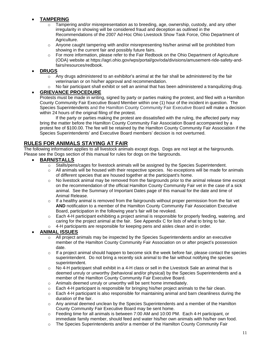#### • **TAMPERING**

- Tampering and/or misrepresentation as to breeding, age, ownership, custody, and any other irregularity in showing will be considered fraud and deception as outlined in the Recommendations of the 2007 Ad-Hoc Ohio Livestock Show Task Force, Ohio Department of Agriculture.
- o Anyone caught tampering with and/or misrepresenting his/her animal will be prohibited from showing in the current fair and possibly future fairs.
- $\circ$  For more information, please refer to the Fair Redbook on the Ohio Department of Agriculture (ODA) website at [https://agri.ohio.gov/wps/portal/gov/oda/divisions/amusement-ride-safety-and](https://agri.ohio.gov/wps/portal/gov/oda/divisions/amusement-ride-safety-and-fairs/resources/redbook)[fairs/resources/redbook.](https://agri.ohio.gov/wps/portal/gov/oda/divisions/amusement-ride-safety-and-fairs/resources/redbook)

#### • **DRUGS**

- $\circ$  Any drugs administered to an exhibitor's animal at the fair shall be administered by the fair veterinarian or on his/her approval and recommendation.
- $\circ$  No fair participant shall exhibit or sell an animal that has been administered a tranquilizing drug.

#### • **GRIEVANCE PROCEDURE**

Protests must be made in writing, signed by party or parties making the protest, and filed with a Hamilton County Community Fair Executive Board Member within one (1) hour of the incident in question. The Species Superintendents and the Hamilton County Community Fair Executive Board will make a decision within 24 hours of the original filing of the protest.

If the party or parties making the protest are dissatisfied with the ruling, the affected party may bring the matter before the Hamilton County Community Fair Association Board accompanied by a protest fee of \$100.00. The fee will be retained by the Hamilton County Community Fair Association if the Species Superintendents' and Executive Board members' decision is not overturned.

### <span id="page-13-0"></span>**RULES FOR ANIMALS STAYING AT FAIR**

The following information applies to all livestock animals except dogs. Dogs are not kept at the fairgrounds. Please see the Dogs section of this manual for rules for dogs on the fairgrounds.

- **BARN/STALLS**
	- o Stalls/pens/cages for livestock animals will be assigned by the Species Superintendent.
	- $\circ$  All animals will be housed with their respective species. No exceptions will be made for animals of different species that are housed together at the participant's home.
	- $\circ$  No livestock animal may be removed from the fairgrounds prior to the animal release time except on the recommendation of the official Hamilton County Community Fair vet in the case of a sick animal. See the Summary of Important Dates page of this manual for the date and time of Animal Release.
	- If a healthy animal is removed from the fairgrounds without proper permission from the fair vet **AND** notification to a member of the Hamilton County Community Fair Association Executive Board, participation in the following year's fair will be revoked.
	- $\circ$  Each 4-H participant exhibiting a project animal is responsible for properly feeding, watering, and caring for the project animal at the fair. See Appendix C for lists of what to bring to fair.
	- 4-H participants are responsible for keeping pens and aisles clean and in order.

#### • **ANIMAL ISSUES**

- All project animals may be inspected by the Species Superintendents and/or an executive member of the Hamilton County Community Fair Association on or after project's possession date.
- $\circ$  If a project animal should happen to become sick the week before fair, please contact the species superintendent. Do not bring a recently sick animal to the fair without notifying the species superintendent.
- $\circ$  No 4-H participant shall exhibit in a 4-H class or sell in the Livestock Sale an animal that is deemed unruly or unworthy (behavioral and/or physical) by the Species Superintendents and a member of the Hamilton County Community Fair Executive Board.
- o Animals deemed unruly or unworthy will be sent home immediately.
- $\circ$  Each 4-H participant is responsible for bringing his/her project animals to the fair clean.
- $\circ$  Each 4-H participant is also responsible for maintaining animal and barn cleanliness during the duration of the fair.
- $\circ$  Any animal deemed unclean by the Species Superintendents and a member of the Hamilton County Community Fair Executive Board may be sent home.
- $\circ$  Feeding time for all animals is between 7:00 AM and 10:00 PM. Each 4-H participant, or immediate family member, should feed and water his/her own animals with his/her own food.
- o The Species Superintendents and/or a member of the Hamilton County Community Fair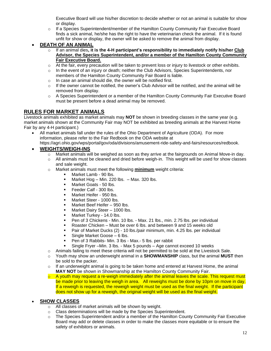Executive Board will use his/her discretion to decide whether or not an animal is suitable for show or display.

- o If a Species Superintendent/member of the Hamilton County Community Fair Executive Board finds a sick animal, he/she has the right to have the veterinarian check the animal. If it is found unfit for show or display, the owner will be asked to remove the animal from display.
- **DEATH OF AN ANIMAL**
	- o If an animal dies**, it is the 4-H participant's responsibility to immediately notify his/her Club Advisor, the Species Superintendent, and/or a member of the Hamilton County Community Fair Executive Board.**
	- $\circ$  At the fair, every precaution will be taken to prevent loss or injury to livestock or other exhibits.
	- o In the event of an injury or death; neither the Club Advisors, Species Superintendents, nor members of the Hamilton County Community Fair Board is liable.
	- o In case an animal should die, the owner will be notified first.
	- $\circ$  If the owner cannot be notified, the owner's Club Advisor will be notified, and the animal will be removed from display.
	- o A Species Superintendent or a member of the Hamilton County Community Fair Executive Board must be present before a dead animal may be removed.

#### <span id="page-14-0"></span>**RULES FOR MARKET ANIMALS**

Livestock animals exhibited as market animals may **NOT** be shown in breeding classes in the same year (e.g. market animals shown at the Community Fair may NOT be exhibited as breeding animals at the Harvest Home Fair by any 4-H participant.)

• All market animals fall under the rules of the Ohio Department of Agriculture (ODA). For more information, please refer to the Fair Redbook on the ODA website at [https://agri.ohio.gov/wps/portal/gov/oda/divisions/amusement-ride-safety-and-fairs/resources/redbook.](https://agri.ohio.gov/wps/portal/gov/oda/divisions/amusement-ride-safety-and-fairs/resources/redbook)

#### • **WEIGHTS/WEIGH-INS**

- $\circ$  Market animals will be weighed as soon as they arrive at the fairgrounds on Animal Move-in day.
- $\circ$  All animals must be cleaned and dried before weigh-in. This weight will be used for show classes and sale weight.
- o Market animals must meet the following **minimum** weight criteria:
	- Market Lamb 90 lbs.
	- **■** Market Hog Min. 220 lbs. Max. 320 lbs.
	- Market Goats 50 lbs.
	- Feeder Calf 300 lbs.
	- Market Heifer 950 lbs.
	- Market Steer 1000 lbs.
	- Market Beef Heifer 950 lbs.
	- Market Dairy Steer 1000 lbs.
	- Market Turkey 14.0 lbs.
	- Pen of 3 Chickens Min. 10 lbs. Max. 21 lbs., min. 2.75 lbs. per individual
	- Roaster Chicken Must be over 6 lbs. and between 9 and 15 weeks old
	- Pair of Market Ducks (2) 10 lbs./pair minimum, min. 4.25 lbs. per individual
	- Single Market Goose 6 lbs.
	- Pen of 3 Rabbits- Min. 3 lbs Max.- 5 lbs. per rabbit
	- Single Fryer –Min. 3 lbs. Max 5 pounds Age cannot exceed 10 weeks
- o Animals failing to meet these criteria will not be permitted to be sold at the Livestock Sale.
- o Youth may show an underweight animal in a **SHOWMANSHIP** class, but the animal **MUST** then be sold to the packer.
- $\circ$  If an underweight animal is going to be taken home and entered at Harvest Home, the animal **MAY NOT** be shown in Showmanship at the Hamilton County Community Fair.
- $\circ$  A youth may request a re-weigh immediately after the animal leaves the scale. This request must be made prior to leaving the weigh in area. All reweighs must be done by 10pm on move in day. If a reweigh is requested, the reweigh weight must be used as the final weight. If the participant does not show up for a reweigh, the original weight will be used as the final weight.

#### • **SHOW CLASSES**

- o All classes of market animals will be shown by weight.
- o Class determinations will be made by the Species Superintendent.
- $\circ$  The Species Superintendent and/or a member of the Hamilton County Community Fair Executive Board may add or delete classes in order to make the classes more equitable or to ensure the safety of exhibitors or animals.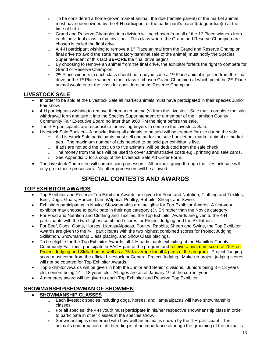- $\circ$  To be considered a home-grown market animal, the doe (female parent) of the market animal must have been owned by the 4-H participant or the participant's parent(s)/ guardian(s) at the time of birth.
- $\circ$  Grand and Reserve Champion in a division will be chosen from all of the 1<sup>st</sup> Place winners from each individual class in that division. This class where the Grand and Reserve Champion are chosen is called the final drive.
- $\circ$  A 4-H participant wishing to remove a 1<sup>st</sup> Place animal from the Grand and Reserve Champion final drive (to avoid the state mandatory terminal sale of the animal) must notify the Species Superintendent of this fact **BEFORE** the final drive begins.
- $\circ$  By choosing to remove an animal from the final drive, the exhibitor forfeits the right to compete for Grand or Reserve Champion.
- $\circ$ <sup>nd</sup> Place winners in each class should be ready in case a 1<sup>st</sup> Place animal is pulled from the final drive or the 1<sup>st</sup> Place winner in their class is chosen Grand Champion at which point the 2<sup>nd</sup> Place animal would enter the class for consideration as Reserve Champion.

### <span id="page-15-0"></span>**LIVESTOCK SALE**

- In order to be sold at the Livestock Sale all market animals must have participated in their species Junior Fair show.
- 4-H participants wishing to remove their market animal(s) from the Livestock Sale must complete the sale withdrawal form and turn it into the Species Superintendent or a member of the Hamilton County Community Fair Executive Board no later than 9:00 PM the night before the sale.
- The 4-H participants are responsible for inviting buyers to come to the Livestock Sale.
- Livestock Sale Booklet A booklet listing all animals to be sold will be created for use during the sale.
	- o All Livestock Sale participants must sell one ad for the sale booklet per market animal or market pen. The maximum number of ads needed to be sold per exhibitor is five.
	- $\circ$  If ads are not sold the cost, up to five animals, will be deducted from the sale check.
	- $\circ$  The money from the ads will be used to cover administrative costs e.g., printing and sale cards.
	- o See Appendix D for a copy of the Livestock Sale Ad Order Form.
- The Livestock Committee will commission processors. All animals going through the livestock sale will only go to those processors. No other processors will be allowed.

## **SPECIAL CONTESTS AND AWARDS**

#### <span id="page-15-2"></span><span id="page-15-1"></span>**TOP EXHIBITOR AWARDS**

- Top Exhibitor and Reserve Top Exhibitor Awards are given for Food and Nutrition, Clothing and Textiles, Beef, Dogs, Goats, Horses, Llama/Alpaca, Poultry, Rabbits, Sheep, and Swine.
- Exhibitors participating in Novice Showmanship are ineligible for Top Exhibitor Awards. A first-year exhibitor may choose to participate in their age category (Jr, Sr) rather than the Novice category.
- For Food and Nutrition and Clothing and Textiles, the Top Exhibitor Awards are given to the 4-H participants with the two highest combined scores for Project Judging and the Skillathon.
- For Beef, Dogs, Goats, Horses, Llamas/Alpacas, Poultry, Rabbits, Sheep and Swine, the Top Exhibitor Awards are given to the 4-H participants with the two highest combined scores for Project Judging, Skillathon, Showmanship Class placing, and Show Class placings.
- To be eligible for the Top Exhibitor Awards, all 4-H participants exhibiting at the Hamilton County Community Fair must participate in EACH part of the program and receive a minimum score of 75% on Project Judging and Skillathon as well as a 75% average for all 4 parts of the program. Project Judging score must come from the official Livestock or General Project Judging. Make-up project judging scores will not be counted for Top Exhibitor Awards.
- Top Exhibitor Awards will be given in both the Junior and Senior divisions. Juniors being 8 13 years old, seniors being  $14 - 18$  years old. All ages are as of January  $1<sup>st</sup>$  of the current year.
- A monetary award will be given to each Top Exhibitor and Reserve Top Exhibitor.

## <span id="page-15-3"></span>**SHOWMANSHIP/SHOWMAN OF SHOWMEN**

#### • **SHOWMANSHIP CLASSES**

- $\circ$  Each livestock species including dogs, horses, and llama/alpacas will have showmanship classes.
- $\circ$  For all species, the 4-H youth must participate in his/her respective showmanship class in order to participate in other classes in the species show.
- $\circ$  Showmanship is concerned with how well an animal is shown by the 4-H participant. The animal's conformation or its breeding is of no importance although the grooming of the animal is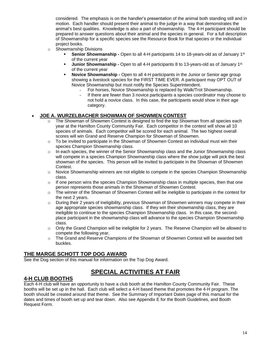considered. The emphasis is on the handler's presentation of the animal both standing still and in motion. Each handler should present their animal to the judge in a way that demonstrates the animal's best qualities. Knowledge is also a part of showmanship. The 4-H participant should be prepared to answer questions about their animal and the species in general. For a full description of Showmanship for a specific species see the Resource Book for that species or the individual project books.

- o Showmanship Divisions
	- **Senior Showmanship -** Open to all 4-H participants 14 to 18-years-old as of January 1<sup>st</sup> of the current year
	- **Junior Showmanship -** Open to all 4-H participants 8 to 13-years-old as of January 1st of the current year
	- **Novice Showmanship** Open to all 4-H participants in the Junior or Senior age group showing a livestock species for the FIRST TIME EVER. A participant may OPT OUT of Novice Showmanship but must notify the Species Superintendent.
		- For horses, Novice Showmanship is replaced by Walk/Trot Showmanship.
		- If there are fewer than 3 novice participants a species coordinator may choose to not hold a novice class. In this case, the participants would show in their age category.

#### • **JOE A. WURZELBACHER SHOWMAN OF SHOWMEN CONTEST**

- The Showman of Showmen Contest is designed to find the top Showman from all species each year at the Hamilton County Community Fair. Each competitor in the contest will show all 10 species of animals. Each competitor will be scored for each animal. The two highest overall scores will win Grand and Reserve Champion for Showman of Showmen.
- $\circ$  To be invited to participate in the Showman of Showmen Contest an individual must win their species Champion Showmanship class.
- $\circ$  In each species, the winner of the Senior Showmanship class and the Junior Showmanship class will compete in a species Champion Showmanship class where the show judge will pick the best showman of the species. This person will be invited to participate in the Showman of Showmen Contest.
- $\circ$  Novice Showmanship winners are not eligible to compete in the species Champion Showmanship class.
- $\circ$  If one person wins the species Champion Showmanship class in multiple species, then that one person represents those animals in the Showman of Showmen Contest.
- $\circ$  The winner of the Showman of Showmen Contest will be ineligible to participate in the contest for the next 2 years.
- o During their 2 years of ineligibility, previous Showman of Showmen winners may compete in their age appropriate species showmanship class. If they win their showmanship class, they are ineligible to continue to the species Champion Showmanship class. In this case, the secondplace participant in the showmanship class will advance to the species Champion Showmanship class.
- $\circ$  Only the Grand Champion will be ineligible for 2 years. The Reserve Champion will be allowed to compete the following year.
- o The Grand and Reserve Champions of the Showman of Showmen Contest will be awarded belt buckles.

#### <span id="page-16-0"></span>**THE MARGE SCHOTT TOP DOG AWARD**

See the Dog section of this manual for information on the Top Dog Award.

## **SPECIAL ACTIVITIES AT FAIR**

#### <span id="page-16-2"></span><span id="page-16-1"></span>**4-H CLUB BOOTHS**

Each 4-H club will have an opportunity to have a club booth at the Hamilton County Community Fair. These booths will be set up in the hall. Each club will select a 4-H based theme that promotes the 4-H program. The booth should be created around that theme. See the Summary of Important Dates page of this manual for the dates and times of booth set up and tear down. Also see Appendix E for the Booth Guidelines, and Booth Request Form.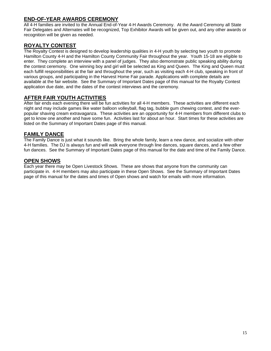### <span id="page-17-0"></span>**END-OF-YEAR AWARDS CEREMONY**

All 4-H families are invited to the Annual End-of-Year 4-H Awards Ceremony. At the Award Ceremony all State Fair Delegates and Alternates will be recognized, Top Exhibitor Awards will be given out, and any other awards or recognition will be given as needed.

### <span id="page-17-1"></span>**ROYALTY CONTEST**

The Royalty Contest is designed to develop leadership qualities in 4-H youth by selecting two youth to promote Hamilton County 4-H and the Hamilton County Community Fair throughout the year. Youth 15-18 are eligible to enter. They complete an interview with a panel of judges. They also demonstrate public speaking ability during the contest ceremony. One winning boy and girl will be selected as King and Queen. The King and Queen must each fulfill responsibilities at the fair and throughout the year, such as visiting each 4-H club, speaking in front of various groups, and participating in the Harvest Home Fair parade. Applications with complete details are available at the fair website. See the Summary of Important Dates page of this manual for the Royalty Contest application due date, and the dates of the contest interviews and the ceremony.

#### <span id="page-17-2"></span>**AFTER FAIR YOUTH ACTIVITIES**

After fair ends each evening there will be fun activities for all 4-H members. These activities are different each night and may include games like water balloon volleyball, flag tag, bubble gum chewing contest, and the everpopular shaving cream extravaganza. These activities are an opportunity for 4-H members from different clubs to get to know one another and have some fun. Activities last for about an hour. Start times for these activities are listed on the Summary of Important Dates page of this manual.

#### <span id="page-17-3"></span>**FAMILY DANCE**

The Family Dance is just what it sounds like. Bring the whole family, learn a new dance, and socialize with other 4-H families. The DJ is always fun and will walk everyone through line dances, square dances, and a few other fun dances. See the Summary of Important Dates page of this manual for the date and time of the Family Dance.

#### <span id="page-17-4"></span>**OPEN SHOWS**

Each year there may be Open Livestock Shows. These are shows that anyone from the community can participate in. 4-H members may also participate in these Open Shows. See the Summary of Important Dates page of this manual for the dates and times of Open shows and watch for emails with more information.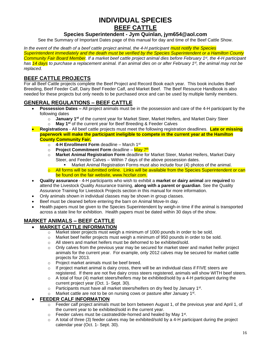## **INDIVIDUAL SPECIES BEEF CATTLE**

#### **Species Superintendent - Jym Quinlan, jym654@aol.com**

<span id="page-18-1"></span><span id="page-18-0"></span>See the Summary of Important Dates page of this manual for day and time of the Beef Cattle Show.

*In the event of the death of a beef cattle project animal, the 4-H participant must notify the Species Superintendent immediately and the death must be verified by the Species Superintendent or a Hamilton County Community Fair Board Member. If a market beef cattle project animal dies before February 1 st , the 4-H participant has 14 days to purchase a replacement animal. If an animal dies on or after February 1st , the animal may not be replaced.* 

#### **BEEF CATTLE PROJECTS**

For all Beef Cattle projects complete the Beef Project and Record Book each year. This book includes Beef Breeding, Beef Feeder Calf, Dairy Beef Feeder Calf, and Market Beef. The Beef Resource Handbook is also needed for these projects but only needs to be purchased once and can be used by multiple family members.

#### **GENERAL REGULATIONS – BEEF CATTLE**

- **Possession Dates –** All project animals must be in the possession and care of the 4-H participant by the following dates
	- o **January 1 st** of the current year for Market Steer, Market Heifers, and Market Dairy Steer
	- o **May 1 st** of the current year for Beef Breeding & Feeder Calves
- **Registrations** All beef cattle projects must meet the following registration deadlines. **Late or missing paperwork will make the participant ineligible to compete in the current year at the Hamilton County Community Fair.**
	- o **4-H Enrollment Form** deadline March 1st
	- o Project Commitment Form deadline <mark>May 7<sup>th</sup></mark>
	- o **Market Animal Registration Form** deadline for Market Steer, Market Heifers, Market Dairy Steer, and Feeder Calves – Within 7 days of the above possession dates.
	- Market Animal Registration Forms must also include four (4) photos of the animal.  $\circ$  All forms will be submitted online. Links will be available from the Species Superintendent or can be found on the fair website, www.hccfair.com.
- **Quality assurance** 4-H participants who wish to exhibit a **market or dairy animal** are **required** to attend the Livestock Quality Assurance training, **along with a parent or guardian**. See the Quality Assurance Training for Livestock Projects section in this manual for more information.
- Only animals shown in individual classes may be shown in group classes.
- Beef must be cleaned before entering the barn on Animal Move-In day.
- Health papers must be given to the Species Superintendent by weigh-in time if the animal is transported across a state line for exhibition. Health papers must be dated within 30 days of the show.

## **MARKET ANIMALS – BEEF CATTLE**

- **MARKET CATTLE INFORMATION**
	- $\circ$  Market steer projects must weigh a minimum of 1000 pounds in order to be sold.
	- $\circ$  Market beef heifer projects must weigh a minimum of 950 pounds in order to be sold.
	- o All steers and market heifers must be dehorned to be exhibited/sold.
	- $\circ$  Only calves from the previous year may be secured for market steer and market heifer project animals for the current year. For example, only 2012 calves may be secured for market cattle projects for 2013.
	- o Project market animals must be beef breed.
	- $\circ$  If project market animal is dairy cross, there will be an individual class if FIVE steers are registered. If there are not five dairy cross steers registered, animals will show WITH beef steers.
	- $\circ$  A total of four (4) market steers/heifers may be exhibited/sold by a 4-H participant during the current project year (Oct. 1- Sept. 30).
	- $\circ$  Participants must have all market steers/heifers on dry feed by January 1<sup>st</sup>.
	- $\circ$  Market cattle are not to be on nursing cows or pasture after January 1<sup>st</sup>.

#### • **FEEDER CALF INFORMATION**

- $\circ$  Feeder calf project animals must be born between August 1, of the previous year and April 1, of the current year to be exhibited/sold in the current year.
- $\circ$  Feeder calves must be castrated/de-horned and healed by May 1<sup>st</sup>.
- $\circ$  A total of three (3) feeder calves may be exhibited/sold by a 4-H participant during the project calendar year (Oct. 1- Sept. 30).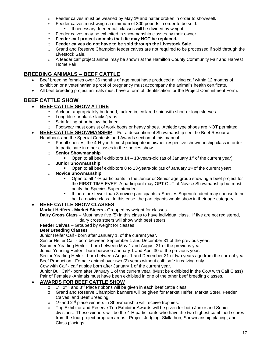- $\circ$  Feeder calves must be weaned by May 1<sup>st</sup> and halter broken in order to show/sell.
- $\circ$  Feeder calves must weigh a minimum of 300 pounds in order to be sold. If necessary, feeder calf classes will be divided by weight.
- o Feeder calves may be exhibited in showmanship classes by their owner.
- o **Feeder calf project animals that die may NOT be replaced.**
- o **Feeder calves do not have to be sold through the Livestock Sale.**
- $\circ$  Grand and Reserve Champion feeder calves are not required to be processed if sold through the Livestock Sale.
- $\circ$  A feeder calf project animal may be shown at the Hamilton County Community Fair and Harvest Home Fair.

### **BREEDING ANIMALS – BEEF CATTLE**

- Beef breeding females over 36 months of age must have produced a living calf within 12 months of exhibition or a veterinarian's proof of pregnancy must accompany the animal's health certificate.
- All beef breeding project animals must have a form of identification for the Project Commitment Form.

## **BEEF CATTLE SHOW**

#### • **BEEF CATTLE SHOW ATTIRE**

- $\circ$  A clean, appropriately buttoned, tucked in, collared shirt with short or long sleeves.
- o Long blue or black slacks/jeans.
- o Skirt falling at or below the knee.
- Footwear must consist of work boots or heavy shoes. Athletic type shoes are NOT permitted.
- **BEEF CATTLE SHOWMANSHIP** For a description of Showmanship see the Beef Resource Handbook and the Special Contests and Awards section of this manual.
	- $\circ$  For all species, the 4-H youth must participate in his/her respective showmanship class in order to participate in other classes in the species show.
	- o **Senior Showmanship**
		- Open to all beef exhibitors  $14 18$ -years-old (as of January  $1<sup>st</sup>$  of the current year)
	- o **Junior Showmanship**
	- **•** Open to all beef exhibitors 8 to 13-years-old (as of January 1<sup>st</sup> of the current year)
	- o **Novice Showmanship**
		- Open to all 4-H participants in the Junior or Senior age group showing a beef project for the FIRST TIME EVER. A participant may OPT OUT of Novice Showmanship but must notify the Species Superintendent.
		- **■** If there are fewer than 3 novice participants a Species Superintendent may choose to not hold a novice class. In this case, the participants would show in their age category.

#### • **BEEF CATTLE SHOW CLASSES**

**Market Heifers - Market Steers -** Grouped by weight for classes

**Dairy Cross Class** – Must have five (5) in this class to have individual class. If five are not registered, dairy cross steers will show with beef steers.

**Feeder Calves** – Grouped by weight for classes

#### **Beef Breeding Classes**

Junior Heifer Calf - born after January 1, of the current year.

Senior Heifer Calf - born between September 1 and December 31 of the previous year.

Summer Yearling Heifer - born between May 1 and August 31 of the previous year.

Junior Yearling Heifer - born between January 1 and April 30 of the previous year.

Senior Yearling Heifer - born between August 1 and December 31 of two years ago from the current year. Beef Production - Female animal over two (2) years without calf; safe in calving only

Cow with Calf - calf at side born after January 1 of the current year.

Junior Bull Calf - born after January 1 of the current year. (Must be exhibited in the Cow with Calf Class) Pair of Females -Animals must have been exhibited in one of the other beef breeding classes.

#### • **AWARDS FOR BEEF CATTLE SHOW**

- o 1 st, 2<sup>nd</sup>, and 3<sup>rd</sup> Place ribbons will be given in each beef cattle class.
- o Grand and Reserve Champion banners will be given for Market Heifer, Market Steer, Feeder Calves, and Beef Breeding.
- o 1<sup>st</sup> and 2<sup>nd</sup> place winners in Showmanship will receive trophies.
- o Top Exhibitor and Reserve Top Exhibitor Awards will be given for both Junior and Senior divisions. These winners will be the 4-H participants who have the two highest combined scores from the four project program areas: Project Judging, Skillathon, Showmanship placing, and Class placings.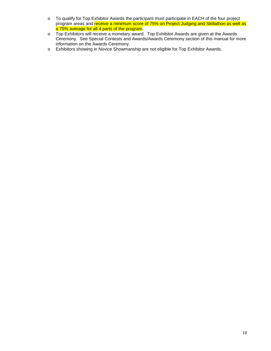- o To qualify for Top Exhibitor Awards the participant must participate in EACH of the four project program areas and receive a minimum score of 75% on Project Judging and Skillathon as well as a 75% average for all 4 parts of the program.
- o Top Exhibitors will receive a monetary award. Top Exhibitor Awards are given at the Awards Ceremony. See Special Contests and Awards/Awards Ceremony section of this manual for more information on the Awards Ceremony.
- o Exhibitors showing in Novice Showmanship are not eligible for Top Exhibitor Awards.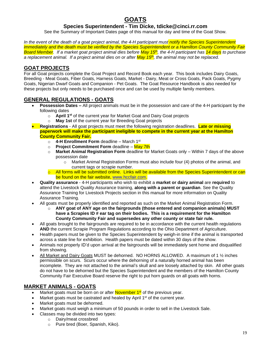## **GOATS**

#### **Species Superintendent - Tim Dicke, tdicke@cinci.rr.com**

See the Summary of Important Dates page of this manual for day and time of the Goat Show.

<span id="page-21-0"></span>*In the event of the death of a goat project animal, the 4-H participant must notify the Species Superintendent immediately and the death must be verified by the Species Superintendent or a Hamilton County Community Fair Board Member. If a market goat project animal dies before May 15th , the 4-H participant has 14 days to purchase a replacement animal. If a project animal dies on or after May 15th, the animal may not be replaced.* 

#### **GOAT PROJECTS**

For all Goat projects complete the Goat Project and Record Book each year. This book includes Dairy Goats, Breeding - Meat Goats, Fiber Goats, Harness Goats, Market - Dairy, Meat or Cross Goats, Pack Goats, Pygmy Goats, Nigerian Dwarf Goats and Companion - Pet Goats. The Goat Resource Handbook is also needed for these projects but only needs to be purchased once and can be used by multiple family members.

#### **GENERAL REGULATIONS - GOATS**

- **Possession Dates –** All project animals must be in the possession and care of the 4-H participant by the following dates
	- o **April 1 st** of the current year for Market Goat and Dairy Goat projects
	- o **May 1st** of the current year for Breeding Goat projects
- **Registrations** All goat projects must meet the following registration deadlines. **Late or missing paperwork will make the participant ineligible to compete in the current year at the Hamilton County Community Fair.**
	- o **4-H Enrollment Form** deadline March 1 st
	- o **Project Commitment Form** deadline May 7th
	- o **Market Animal Registration Form** deadline for Market Goats only Within 7 days of the above possession date
		- $\circ$  Market Animal Registration Forms must also include four (4) photos of the animal, and current tags or scrapie number.
	- $\circ$  All forms will be submitted online. Links will be available from the Species Superintendent or can be found on the fair website, [www.hccfair.com.](http://www.hccfair.com/)
- **Quality assurance** 4-H participants who wish to exhibit a **market or dairy animal** are **required** to attend the Livestock Quality Assurance training, **along with a parent or guardian**. See the Quality Assurance Training for Livestock Projects section in this manual for more information on Quality Assurance Training.
- All goats must be properly identified and reported as such on the Market Animal Registration Form.
	- o **ANY goat of ANY age on the fairgrounds (those entered and companion animals) MUST have a Scrapies ID # ear tag on their bodies. This is a requirement for the Hamilton County Community Fair and supersedes any other county or state fair rule.**
- All goats brought to the fairgrounds are required to be in accordance with the current health regulations **AND** the current Scrapie Program Regulations according to the Ohio Department of Agriculture.
- Health papers must be given to the Species Superintendent by weigh-in time if the animal is transported across a state line for exhibition. Health papers must be dated within 30 days of the show.
- Animals not properly ID'd upon arrival at the fairgrounds will be immediately sent home and disqualified from showing.
- All Market and Dairy Goats MUST be dehorned. NO HORNS ALLOWED. A maximum of 1  $\frac{1}{2}$  inches permissible on scurs. Scurs occur where the dehorning of a naturally horned animal has been incomplete. They are not attached to the animal's skull and are loosely attached by skin. All other goats do not have to be dehorned but the Species Superintendent and the members of the Hamilton County Community Fair Executive Board reserve the right to put horn guards on all goats with horns.

### **MARKET ANIMALS - GOATS**

- Market goats must be born on or after **November 1<sup>st</sup> of the previous year.**
- Market goats must be castrated and healed by April 1<sup>st</sup> of the current year.
- Market goats must be dehorned.
- Market goats must weigh a minimum of 50 pounds in order to sell in the Livestock Sale.
	- Classes may be divided into two types:
		- o Dairy/meat crossbred
			- o Pure bred (Boer, Spanish, Kiko).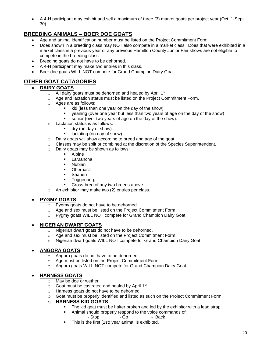• A 4-H participant may exhibit and sell a maximum of three (3) market goats per project year (Oct. 1-Sept. 30).

## **BREEDING ANIMALS – BOER DOE GOATS**

- Age and animal identification number must be listed on the Project Commitment Form.
- Does shown in a breeding class may NOT also compete in a market class. Does that were exhibited in a market class in a previous year or any previous Hamilton County Junior Fair shows are not eligible to compete in the breeding class.
- Breeding goats do not have to be dehorned.
- A 4-H participant may make two entries in this class.
- Boer doe goats WILL NOT compete for Grand Champion Dairy Goat.

## **OTHER GOAT CATAGORIES**

- **DAIRY GOATS**
	- $\circ$  All dairy goats must be dehorned and healed by April 1st.
	- o Age and lactation status must be listed on the Project Commitment Form.
	- o Ages are as follows:
		- kid (less than one year on the day of the show)<br>■ vearling (over one year but less than two years
		- yearling (over one year but less than two years of age on the day of the show)
		- senior (over two years of age on the day of the show).
	- o Lactation status is as follows:
		- dry (on day of show)
		- lactating (on day of show)
	- o Dairy goats will show according to breed and age of the goat.
	- o Classes may be split or combined at the discretion of the Species Superintendent.
		- o Dairy goats may be shown as follows:
			- Alpine
			- LaMancha
			- Nubian
			- Oberhasli
			- Saanen
			- Toggenburg
			- Cross-bred of any two breeds above
		- o An exhibitor may make two (2) entries per class.

#### • **PYGMY GOATS**

- o Pygmy goats do not have to be dehorned.
- o Age and sex must be listed on the Project Commitment Form.
- o Pygmy goats WILL NOT compete for Grand Champion Dairy Goat.

#### • **NIGERIAN DWARF GOATS**

- o Nigerian dwarf goats do not have to be dehorned.
- o Age and sex must be listed on the Project Commitment Form.
- o Nigerian dwarf goats WILL NOT compete for Grand Champion Dairy Goat.

#### • **ANGORA GOATS**

- o Angora goats do not have to be dehorned.
- o Age must be listed on the Project Commitment Form.
- o Angora goats WILL NOT compete for Grand Champion Dairy Goat.

#### • **HARNESS GOATS**

- o May be doe or wether.
- o Goat must be castrated and healed by April 1<sup>st</sup>.
- o Harness goats do not have to be dehorned.
- $\circ$  Goat must be properly identified and listed as such on the Project Commitment Form

#### o **HARNESS KID GOATS**

- **•** The kid goat must be halter broken and led by the exhibitor with a lead strap.
	- Animal should properly respond to the voice commands of:

- Stop - Go - Back

**•** This is the first (1st) year animal is exhibited.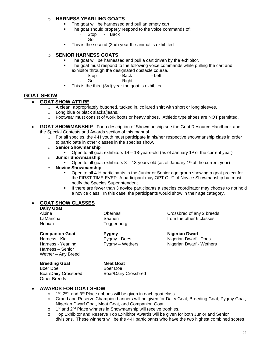#### o **HARNESS YEARLING GOATS**

- The goat will be harnessed and pull an empty cart.
	- The goat should properly respond to the voice commands of:
		- Stop Back
		- Go
- This is the second (2nd) year the animal is exhibited.

#### o **SENIOR HARNESS GOATS**

- The goat will be harnessed and pull a cart driven by the exhibitor.
- The goat must respond to the following voice commands while pulling the cart and exhibitor through the designated obstacle course.<br>- Stop - Back - Left
	- Stop Back
		- Go Right
- This is the third (3rd) year the goat is exhibited.

#### **GOAT SHOW**

#### • **GOAT SHOW ATTIRE**

- o A clean, appropriately buttoned, tucked in, collared shirt with short or long sleeves.
- o Long blue or black slacks/jeans.
- $\circ$  Footwear must consist of work boots or heavy shoes. Athletic type shoes are NOT permitted.
- **GOAT SHOWMANSHIP** For a description of Showmanship see the Goat Resource Handbook and the Special Contests and Awards section of this manual.
	- $\circ$  For all species, the 4-H youth must participate in his/her respective showmanship class in order to participate in other classes in the species show.
	- o **Senior Showmanship**
		- Open to all goat exhibitors  $14 18$ -years-old (as of January  $1<sup>st</sup>$  of the current year)
	- o **Junior Showmanship**
		- **•** Open to all goat exhibitors  $8 13$ -years-old (as of January 1<sup>st</sup> of the current year)

#### o **Novice Showmanship**

- Open to all 4-H participants in the Junior or Senior age group showing a goat project for the FIRST TIME EVER. A participant may OPT OUT of Novice Showmanship but must notify the Species Superintendent.
- **.** If there are fewer than 3 novice participants a species coordinator may choose to not hold a novice class. In this case, the participants would show in their age category.

#### • **GOAT SHOW CLASSES**

|        | <b>Dairy Goat</b> |
|--------|-------------------|
| Alpine |                   |
|        |                   |

Nubian Toggenburg

Oberhasli Crossbred of any 2 breeds LaMancha Saanen from the other 6 classes

**Companion Goat Pygmy Nigerian Dwarf** Harness - Kid **Pygmy - Does** Nigerian Dwarf - Does Harness - Yearling **Pygmy – Wethers Nigerian Dwarf - Wethers** 

**Breeding Goat Meat Goat** Boer Doe Boer Doe Other Breeds

Harness – Senior Wether – Any Breed

Boar/Dairy Crossbred Boar/Dairy Crossbred

#### • **AWARDS FOR GOAT SHOW**

- o 1<sup>st</sup>, 2<sup>nd</sup>, and 3<sup>rd</sup> Place ribbons will be given in each goat class.
- o Grand and Reserve Champion banners will be given for Dairy Goat, Breeding Goat, Pygmy Goat, Nigerian Dwarf Goat, Meat Goat, and Companion Goat.
- o 1<sup>st</sup> and 2<sup>nd</sup> Place winners in Showmanship will receive trophies.
- o Top Exhibitor and Reserve Top Exhibitor Awards will be given for both Junior and Senior divisions. These winners will be the 4-H participants who have the two highest combined scores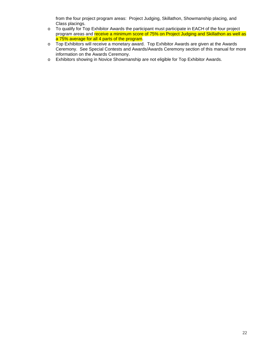from the four project program areas: Project Judging, Skillathon, Showmanship placing, and Class placings.

- o To qualify for Top Exhibitor Awards the participant must participate in EACH of the four project program areas and receive a minimum score of 75% on Project Judging and Skillathon as well as a 75% average for all 4 parts of the program.
- o Top Exhibitors will receive a monetary award. Top Exhibitor Awards are given at the Awards Ceremony. See Special Contests and Awards/Awards Ceremony section of this manual for more information on the Awards Ceremony.
- o Exhibitors showing in Novice Showmanship are not eligible for Top Exhibitor Awards.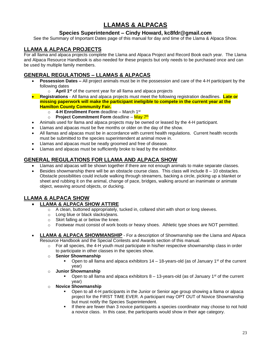## **LLAMAS & ALPACAS**

### **Species Superintendent – Cindy Howard, kc8fdr@gmail.com**

<span id="page-25-0"></span>See the Summary of Important Dates page of this manual for day and time of the Llama & Alpaca Show.

### **LLAMA & ALPACA PROJECTS**

For all llama and alpaca projects complete the Llama and Alpaca Project and Record Book each year. The Llama and Alpaca Resource Handbook is also needed for these projects but only needs to be purchased once and can be used by multiple family members.

### **GENERAL REGULATIONS – LLAMAS & ALPACAS**

- **Possession Dates –** All project animals must be in the possession and care of the 4-H participant by the following dates
	- o **April 1st** of the current year for all llama and alpaca projects
- **Registrations** All llama and alpaca projects must meet the following registration deadlines. **Late or missing paperwork will make the participant ineligible to compete in the current year at the Hamilton County Community Fair.**
	- o **4-H Enrollment Form** deadline March 1st
	- o Project Commitment Form deadline <mark>May 7<sup>th</sup></u></mark>
- Animals used for llama and alpaca projects may be owned or leased by the 4-H participant.
- Llamas and alpacas must be five months or older on the day of the show.
- All llamas and alpacas must be in accordance with current health regulations. Current health records must be submitted to the species superintendent at animal move in.
- Llamas and alpacas must be neatly groomed and free of disease.
- Llamas and alpacas must be sufficiently broke to lead by the exhibitor.

### **GENERAL REGULATIONS FOR LLAMA AND ALPACA SHOW**

- Llamas and alpacas will be shown together if there are not enough animals to make separate classes.
- Besides showmanship there will be an obstacle course class. This class will include  $8 10$  obstacles. Obstacle possibilities could include walking through streamers, backing a circle, picking up a blanket or sheet and rubbing it on the animal, change of pace, bridges, walking around an inanimate or animate object, weaving around objects, or ducking.

### **LLAMA & ALPACA SHOW**

#### • **LLAMA & ALPACA SHOW ATTIRE**

- $\circ$  A clean, buttoned appropriately, tucked in, collared shirt with short or long sleeves.
	- o Long blue or black slacks/jeans.
	- o Skirt falling at or below the knee.
- $\circ$  Footwear must consist of work boots or heavy shoes. Athletic type shoes are NOT permitted.
- **LLAMA & ALPACA SHOWMANSHIP** For a description of Showmanship see the Llama and Alpaca Resource Handbook and the Special Contests and Awards section of this manual.
	- $\circ$  For all species, the 4-H youth must participate in his/her respective showmanship class in order to participate in other classes in the species show.
	- o **Senior Showmanship**
		- Open to all llama and alpaca exhibitors  $14 18$ -years-old (as of January 1<sup>st</sup> of the current year)
	- o **Junior Showmanship**
		- Open to all llama and alpaca exhibitors  $8 13$ -years-old (as of January 1<sup>st</sup> of the current year)
	- o **Novice Showmanship**
		- Open to all 4-H participants in the Junior or Senior age group showing a Ilama or alpaca project for the FIRST TIME EVER. A participant may OPT OUT of Novice Showmanship but must notify the Species Superintendent.
		- **.** If there are fewer than 3 novice participants a species coordinator may choose to not hold a novice class. In this case, the participants would show in their age category.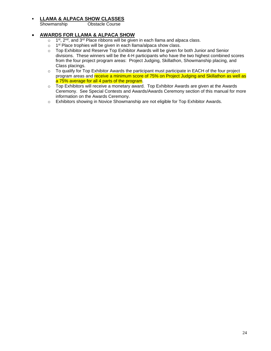## ▪ **LLAMA & ALPACA SHOW CLASSES**

Obstacle Course

#### • **AWARDS FOR LLAMA & ALPACA SHOW**

- $\circ$ st, 2<sup>nd</sup>, and 3<sup>rd</sup> Place ribbons will be given in each llama and alpaca class.
- $\circ$  1<sup>st</sup> Place trophies will be given in each llama/alpaca show class.
- $\circ$  Top Exhibitor and Reserve Top Exhibitor Awards will be given for both Junior and Senior divisions. These winners will be the 4-H participants who have the two highest combined scores from the four project program areas: Project Judging, Skillathon, Showmanship placing, and Class placings.
- o To qualify for Top Exhibitor Awards the participant must participate in EACH of the four project program areas and receive a minimum score of 75% on Project Judging and Skillathon as well as a 75% average for all 4 parts of the program.
- o Top Exhibitors will receive a monetary award. Top Exhibitor Awards are given at the Awards Ceremony. See Special Contests and Awards/Awards Ceremony section of this manual for more information on the Awards Ceremony.
- o Exhibitors showing in Novice Showmanship are not eligible for Top Exhibitor Awards.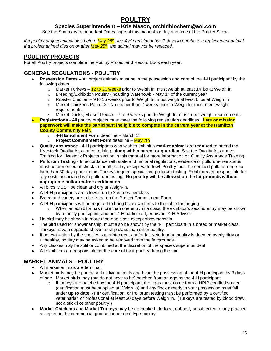## **POULTRY**

#### **Species Superintendent – Kris Mason, orchidbiochem@aol.com**

See the Summary of Important Dates page of this manual for day and time of the Poultry Show.

<span id="page-27-0"></span>If a poultry project animal dies before May 25<sup>th</sup>, the 4-H participant has 7 days to purchase a replacement animal. *If a project animal dies on or after May 25th , the animal may not be replaced.* 

### **POULTRY PROJECTS**

For all Poultry projects complete the Poultry Project and Record Book each year.

#### **GENERAL REGULATIONS - POULTRY**

- **Possession Dates –** All project animals must be in the possession and care of the 4-H participant by the following dates
	- $\circ$  Market Turkeys 12 to 26 weeks prior to Weigh In, must weigh at least 14 lbs at Weigh In
	- o Breeding/Exhibition Poultry (including Waterfowl) May 1<sup>st</sup> of the current year
	- $\circ$  Roaster Chicken 9 to 15 weeks prior to Weigh In, must weigh at least 6 lbs at Weigh In
	- o Market Chickens Pen of 3 No sooner than 7 weeks prior to Weigh In, must meet weight requirements.
	- $\circ$  Market Ducks, Market Geese  $-7$  to 9 weeks prior to Weigh In, must meet weight requirements.
- **Registrations** All poultry projects must meet the following registration deadlines. **Late or missing paperwork will make the participant ineligible to compete in the current year at the Hamilton County Community Fair.**
	- o **4-H Enrollment Form** deadline March 1st
	- **Project Commitment Form** deadline May 7th
- **Quality assurance** 4-H participants who wish to exhibit a **market animal** are **required** to attend the Livestock Quality Assurance training, **along with a parent or guardian**. See the Quality Assurance Training for Livestock Projects section in this manual for more information on Quality Assurance Training.
- **Pullorum Testing** In accordance with state and national regulations, evidence of pullorum-free status must be presented at check-in for all poultry except waterfowl. Poultry must be certified pullorum-free no later than 30 days prior to fair. Turkeys require specialized pullorum testing. Exhibitors are responsible for any costs associated with pullorum testing**. No poultry will be allowed on the fairgrounds without appropriate pullorum-free certification.**
- All birds MUST be clean and dry at Weigh-in.
- All 4-H participants are allowed up to 2 entries per class.
- Breed and variety are to be listed on the Project Commitment Form.
- All 4-H participants will be required to bring their own birds to the table for judging.
	- $\circ$  When an exhibitor has more than one entry in a class, the exhibitor's second entry may be shown by a family participant, another 4-H participant, or his/her 4-H Advisor.
- No bird may be shown in more than one class except showmanship.
- The bird used for showmanship, must also be shown by the 4-H participant in a breed or market class. Turkeys have a separate showmanship class than other poultry.
- If on evaluation by the species superintendent and/or fair veterinarian poultry is deemed overly dirty or unhealthy, poultry may be asked to be removed from the fairgrounds.
- Any classes may be split or combined at the discretion of the species superintendent.
- All exhibitors are responsible for the care of their poultry during the fair.

## **MARKET ANIMALS – POULTRY**

- All market animals are terminal.
- Market birds may be purchased as live animals and be in the possession of the 4-H participant by 3 days of age. Market birds may (but do not have to be) hatched from an egg by the 4-H participant.
	- $\circ$  If turkeys are hatched by the 4-H participant, the eggs must come from a NPIP certified source (certification must be supplied at Weigh In) and any flock already in your possession must fall under **up to date** NPIP certification, or Pollorum testing must be performed by a certified veterinarian or professional at least 30 days before Weigh In. (Turkeys are tested by blood draw, not a stick like other poultry.)
- **Market Chickens** and **Market Turkeys** may be de-beaked, de-toed, dubbed, or subjected to any practice accepted in the commercial production of meat type poultry.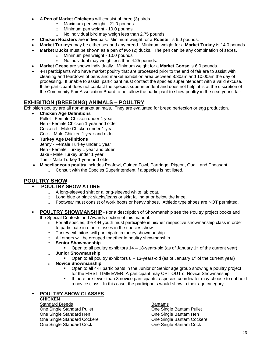- A **Pen of Market Chickens** will consist of three (3) birds.
	- o Maximum pen weight 21.0 pounds
	- o Minimum pen weight 10.0 pounds
	- o No individual bird may weigh less than 2.75 pounds
- **Chicken Roasters** are individuals. Minimum weight for a **Roaster** is 6.0 pounds.
- **Market Turkeys** may be either sex and any breed. Minimum weight for a **Market Turkey** is 14.0 pounds.
	- **Market Ducks** must be shown as a pen of two (2) ducks. The pen can be any combination of sexes.
		- o Minimum pen weight 10.0 pounds
		- o No individual may weigh less than 4.25 pounds.
- **Market Geese** are shown individually. Minimum weight for a **Market Goose** is 6.0 pounds.
- 4-H participants who have market poultry that are processed prior to the end of fair are to assist with cleaning and teardown of pens and market exhibition area between 8:30am and 10:00am the day of processing. If unable to assist, participant must contact the species superintendent with a valid excuse. If the participant does not contact the species superintendent and does not help, it is at the discretion of the Community Fair Association Board to not allow the participant to show poultry in the next year's fair.

#### **EXHIBITION (BREEDING) ANIMALS – POULTRY**

Exhibition poultry are all non-market animals. They are evaluated for breed perfection or egg production.

- **Chicken Age Definitions**  Pullet - Female Chicken under 1 year Hen - Female Chicken 1 year and older Cockerel - Male Chicken under 1 year Cock - Male Chicken 1 year and older
- **Turkey Age Definitions** Jenny - Female Turkey under 1 year Hen - Female Turkey 1 year and older Jake - Male Turkey under 1 year Tom - Male Turkey 1 year and older
- **Miscellaneous poultry** includes Peafowl, Guinea Fowl, Partridge, Pigeon, Quail, and Pheasant.
	- o Consult with the Species Superintendent if a species is not listed.

### **POULTRY SHOW**

#### **POULTRY SHOW ATTIRE**

- o A long-sleeved shirt or a long-sleeved white lab coat.
- o Long blue or black slacks/jeans or skirt falling at or below the knee.
- o Footwear must consist of work boots or heavy shoes. Athletic type shoes are NOT permitted.
- **POULTRY SHOWMANSHIP** For a description of Showmanship see the Poultry project books and the Special Contests and Awards section of this manual.
	- $\circ$  For all species, the 4-H youth must participate in his/her respective showmanship class in order to participate in other classes in the species show.
	- o Turkey exhibitors will participate in turkey showmanship.
	- o All others will be grouped together in poultry showmanship.
	- o **Senior Showmanship**
		- **•** Open to all poultry exhibitors  $14 18$ -years-old (as of January  $1<sup>st</sup>$  of the current year)
	- o **Junior Showmanship**
		- **•** Open to all poultry exhibitors  $8-13$ -years-old (as of January 1<sup>st</sup> of the current year)
	- o **Novice Showmanship**
		- Open to all 4-H participants in the Junior or Senior age group showing a poultry project for the FIRST TIME EVER. A participant may OPT OUT of Novice Showmanship.
		- If there are fewer than 3 novice participants a species coordinator may choose to not hold a novice class. In this case, the participants would show in their age category.

#### **POULTRY SHOW CLASSES**

#### **CHICKEN**

Standard Breeds Bantams One Single Standard Pullet<br>
One Single Bantam Pullet<br>
One Single Bantam Hen<br>
One Single Bantam Hen One Single Standard Hen One Single Standard Cockerel **Communist Cone Single Bantam Cockerel** Communist Cone Single Bantam Cockerel One Single Standard Cock One Single Bantam Cock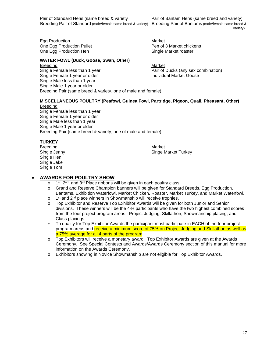Pair of Standard Hens (same breed & variety Pair of Bantam Hens (same breed and variety) Breeding Pair of Standard (male/female same breed & variety) Breeding Pair of Bantams (male/female same breed &

variety)

Egg Production **Market** One Egg Production Pullet **Pen of 3 Market chickens** One Egg Production Hen Single Market roaster

#### **WATER FOWL (Duck, Goose, Swan, Other)**

Breeding Market New York 1989, Market New York 1989, Market New York 1989, Market New York 1989, Market New York 1989, Market New York 1989, Market New York 1989, Market New York 1989, Market New York 1989, Market New York Single Female less than 1 year end and the Pair of Ducks (any sex combination)<br>
Single Female 1 year or older end and Phair individual Market Goose Single Female 1 year or older Single Male less than 1 year Single Male 1 year or older Breeding Pair (same breed & variety, one of male and female)

#### **MISCELLANEOUS POULTRY (Peafowl, Guinea Fowl, Partridge, Pigeon, Quail, Pheasant, Other)** Breeding

Single Female less than 1 year Single Female 1 year or older Single Male less than 1 year Single Male 1 year or older Breeding Pair (same breed & variety, one of male and female)

#### **TURKEY**

Breeding Market New York 1980 and the Market Market New York 1980 and the Market New York 1980 and the Market Single Hen Single Jake Single Tom

Single Jenny **Single Single Single Single Market Turkey** 

#### • **AWARDS FOR POULTRY SHOW**

- o 1<sup>st</sup>, 2<sup>nd</sup>, and 3<sup>rd</sup> Place ribbons will be given in each poultry class.
- o Grand and Reserve Champion banners will be given for Standard Breeds, Egg Production, Bantams, Exhibition Waterfowl, Market Chicken, Roaster, Market Turkey, and Market Waterfowl.
- o 1<sup>st</sup> and 2<sup>nd</sup> place winners in Showmanship will receive trophies.
- o Top Exhibitor and Reserve Top Exhibitor Awards will be given for both Junior and Senior divisions. These winners will be the 4-H participants who have the two highest combined scores from the four project program areas: Project Judging, Skillathon, Showmanship placing, and Class placings.
- $\circ$  To qualify for Top Exhibitor Awards the participant must participate in EACH of the four project program areas and receive a minimum score of 75% on Project Judging and Skillathon as well as a 75% average for all 4 parts of the program.
- o Top Exhibitors will receive a monetary award. Top Exhibitor Awards are given at the Awards Ceremony. See Special Contests and Awards/Awards Ceremony section of this manual for more information on the Awards Ceremony.
- o Exhibitors showing in Novice Showmanship are not eligible for Top Exhibitor Awards.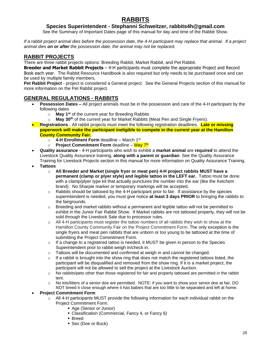## **RABBITS**

#### **Species Superintendent - Stephanni Schweitzer, rabbits4h@gmail.com**

See the Summary of Important Dates page of this manual for day and time of the Rabbit Show.

<span id="page-30-0"></span>*If a rabbit project animal dies before the possession date, the 4-H participant may replace that animal. If a project animal dies on or after the possession date, the animal may not be replaced.* 

#### **RABBIT PROJECTS**

There are three rabbit projects options: Breeding Rabbit, Market Rabbit, and Pet Rabbit.

**Breeder and Market Rabbit Projects** – 4-H participants must complete the appropriate Project and Record Book each year. The Rabbit Resource Handbook is also required but only needs to be purchased once and can be used by multiple family members.

**Pet Rabbit Project** - project is considered a General project. See the General Projects section of this manual for more information on the Pet Rabbit project.

#### **GENERAL REGULATIONS - RABBITS**

- **Possession Dates –** All project animals must be in the possession and care of the 4-H participant by the following dates
	- o **May 1st** of the current year for Breeding Rabbits
	- o **May 30th** of the current year for Market Rabbits (Meat Pen and Single Fryers).
- **Registrations** All rabbit projects must meet the following registration deadlines. **Late or missing paperwork will make the participant ineligible to compete in the current year at the Hamilton County Community Fair.**
	- o **4-H Enrollment Form** deadline March 1st
	- o P**roject Commitment Form** deadline <mark>May 7<sup>th</sup></mark>
- **Quality assurance** 4-H participants who wish to exhibit a **market animal** are **required** to attend the Livestock Quality Assurance training, **along with a parent or guardian**. See the Quality Assurance Training for Livestock Projects section in this manual for more information on Quality Assurance Training.
- **Tattoos**
	- o **All Breeder and Market (single fryer or meat pen) 4-H project rabbits MUST have a permanent (clamp or plyer style) and legible tattoo in the LEFT ear.** Tattoo must be done with a clamp/plyer type kit that actually punctures the number into the ear (like the Ketchem brand). No Sharpie marker or temporary markings will be accepted.
	- $\circ$  Rabbits should be tattooed by the 4-H participant prior to fair. If assistance by the species superintendent is needed, you must give notice **at least 3 days PRIOR** to bringing the rabbits to the fairgrounds.
	- $\circ$  Breeding and market rabbits without a permanent and legible tattoo will not be permitted to exhibit in the Junior Fair Rabbit Show. If Market rabbits are not tattooed properly, they will not be sold through the Livestock Sale due to processor rules.
	- $\circ$  All 4-H participants must register the tattoo numbers of all rabbits they wish to show at the Hamilton County Community Fair on the Project Commitment Form. The only exception is the single fryers and meat pen rabbits that are unborn or too young to be tattooed at the time of submitting the Project Commitment Form.
	- $\circ$  If a change to a registered tattoo is needed, it MUST be given in person to the Species Superintendent prior to rabbit weigh in/check in.
	- $\circ$  Tattoos will be documented and confirmed at weigh in and cannot be changed.
	- $\circ$  If a rabbit is brought into the show ring that does not match the registered tattoos listed, the participant will be disqualified and removed from the show ring. If it is a market project, the participant will not be allowed to sell the project at the Livestock Auction.
	- o No rabbits/pets other than those registered for fair and properly tattooed are permitted in the rabbit tent.
	- o No kits/litters of a senior doe are permitted. NOTE: if you want to show your senior doe at fair, DO NOT breed it close enough where it has babies that are too little to be separated and left at home.

#### • **Project Commitment Form**

- $\circ$  All 4-H participants MUST provide the following information for each individual rabbit on the Project Commitment Form.
	- Age (Senior or Junior)
	- Classification (Commercial, Fancy 4, or Fancy 6)
	- Breed
	- Sex (Doe or Buck)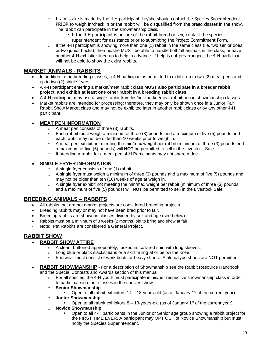- $\circ$  If a mistake is made by the 4-H participant, he/she should contact the Species Superintendent PRIOR to weigh in/check in or the rabbit will be disqualified from the breed classes in the show. The rabbit can participate in the showmanship class.
	- If the 4-H participant is unsure of the rabbit breed or sex, contact the species superintendent for assistance prior to submitting the Project Commitment Form.
- $\circ$  If the 4-H participant is showing more than one (1) rabbit in the same class (i.e. two senior does or two junior bucks), then he/she MUST be able to handle both/all animals in the class, or have another 4-H exhibitor lined up to help in advance. If help is not prearranged, the 4-H participant will not be able to show the extra rabbits.

### **MARKET ANIMALS - RABBITS**

- In addition to the breeding classes, a 4-H participant is permitted to exhibit up to two (2) meat pens and up to two (2) single fryers.
- A 4-H participant entering a market/meat rabbit class **MUST also participate in a breeder rabbit project, and exhibit at least one other rabbit in a breeding rabbit class.**
- A 4-H participant may use a single rabbit from his/her market/meat rabbit pen in showmanship classes.
- Market rabbits are intended for processing; therefore, they may only be shown once in a Junior Fair Rabbit Show Market class and may not be exhibited later in another rabbit class or by any other 4-H participant.

### • **MEAT PEN INFORMATION**

- o A meat pen consists of three (3) rabbits.
- $\circ$  Each rabbit must weigh a minimum of three (3) pounds and a maximum of five (5) pounds and each rabbit may not be older than 10 weeks prior to weigh in.
- $\circ$  A meat pen exhibit not meeting the min/max weight per rabbit (minimum of three (3) pounds and a maximum of five (5) pounds) will **NOT** be permitted to sell in the Livestock Sale.
- o If breeding a rabbit for a meat pen, 4-H Participants may not share a doe.

#### • **SINGLE FRYER INFORMATION**

- o A single fryer consists of one (1) rabbit.
- $\circ$  A single fryer must weigh a minimum of three (3) pounds and a maximum of five (5) pounds and may not be older than ten (10) weeks of age at weigh in.
- $\circ$  A single fryer exhibit not meeting the min/max weight per rabbit (minimum of three (3) pounds and a maximum of five (5) pounds) will **NOT** be permitted to sell in the Livestock Sale.

## **BREEDING ANIMALS – RABBITS**

- All rabbits that are not market projects are considered breeding projects.
- Breeding rabbits may or may not have been bred prior to fair.
- Breeding rabbits are shown in classes divided by sex and age (see below).
- Rabbits must be a minimum of 8 weeks (2 months) old to bring and show at fair.
- Note: Pet Rabbits are considered a General Project.

### **RABBIT SHOW**

#### • **RABBIT SHOW ATTIRE**

- o A clean, buttoned appropriately, tucked in, collared shirt with long sleeves.
- o Long blue or black slacks/jeans or a skirt falling at or below the knee.
- $\circ$  Footwear must consist of work boots or heavy shoes. Athletic type shoes are NOT permitted.
- **RABBIT SHOWMANSHIP** For a description of Showmanship see the Rabbit Resource Handbook and the Special Contests and Awards section of this manual.
	- $\circ$  For all species, the 4-H youth must participate in his/her respective showmanship class in order to participate in other classes in the species show.
	- o **Senior Showmanship**
		- **•** Open to all rabbit exhibitors  $14 18$ -years-old (as of January  $1<sup>st</sup>$  of the current year)
	- o **Junior Showmanship**
		- **•** Open to all rabbit exhibitors  $8 13$ -years-old (as of January 1<sup>st</sup> of the current year)
	- o **Novice Showmanship**
		- Open to all 4-H participants in the Junior or Senior age group showing a rabbit project for the FIRST TIME EVER. A participant may OPT OUT of Novice Showmanship but must notify the Species Superintendent.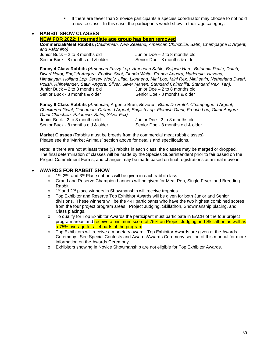If there are fewer than 3 novice participants a species coordinator may choose to not hold a novice class. In this case, the participants would show in their age category.

#### • **RABBIT SHOW CLASSES**

**NEW FOR 2022: Intermediate age group has been removed**

**Commercial/Meat Rabbits** *(Californian, New Zealand, American Chinchilla, Satin, Champagne D'Argent, and Palomino)*

Junior Buck – 2 to 8 months old<br>
Senior Buck - 8 months old & older<br>
Senior Doe - 8 months & older Senior Buck - 8 months old & older

**Fancy 4 Class Rabbits** *(American Fuzzy Lop, American Sable, Belgian Hare, Britannia Petite, Dutch, Dwarf Hotot, English Angora, English Spot, Florida White, French Angora, Harlequin, Havana, Himalayan, Holland Lop, Jersey Wooly, Lilac, Lionhead, Mini Lop, Mini Rex, Mini satin, Netherland Dwarf, Polish, Rhinelander, Satin Angora, Silver, Silver Marten, Standard Chinchilla, Standard Rex, Tan),*  Junior Buck – 2 to 8 months old Junior Doe – 2 to 8 months old Senior Buck - 8 months & older Senior Doe - 8 months & older

**Fancy 6 Class Rabbits** *(American,* Argente Brun, *Beveren, Blanc De Hotot, Champagne d'Argent, Checkered Giant, Cinnamon, Crème d'Argent, English Lop, Flemish Giant, French Lop, Giant Angora, Giant Chinchilla, Palomino, Satin, Silver Fox)* Junior Buck - 2 to 8 months old<br>
Senior Buck - 8 months old & older
Senior Doe - 8 months old & older
Senior Doe - 8 months old & older Senior Buck - 8 months old & older

**Market Classes** (Rabbits must be breeds from the commercial meat rabbit classes) Please see the 'Market Animals' section above for details and specifications.

Note: If there are not at least three (3) rabbits in each class, the classes may be merged or dropped. The final determination of classes will be made by the Species Superintendent prior to fair based on the Project Commitment Forms; and changes may be made based on final registrations at animal move in.

#### • **AWARDS FOR RABBIT SHOW**

- o 1<sup>st</sup>, 2<sup>nd</sup>, and 3<sup>rd</sup> Place ribbons will be given in each rabbit class.
- o Grand and Reserve Champion banners will be given for Meat Pen, Single Fryer, and Breeding Rabbit
- o 1<sup>st</sup> and 2<sup>nd</sup> place winners in Showmanship will receive trophies.
- o Top Exhibitor and Reserve Top Exhibitor Awards will be given for both Junior and Senior divisions. These winners will be the 4-H participants who have the two highest combined scores from the four project program areas: Project Judging, Skillathon, Showmanship placing, and Class placings.
- o To qualify for Top Exhibitor Awards the participant must participate in EACH of the four project program areas and receive a minimum score of 75% on Project Judging and Skillathon as well as a 75% average for all 4 parts of the program.
- o Top Exhibitors will receive a monetary award. Top Exhibitor Awards are given at the Awards Ceremony. See Special Contests and Awards/Awards Ceremony section of this manual for more information on the Awards Ceremony.
- o Exhibitors showing in Novice Showmanship are not eligible for Top Exhibitor Awards.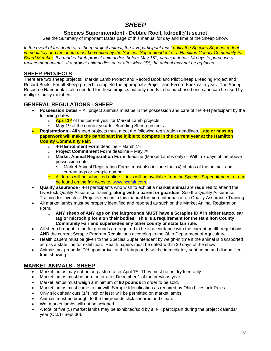## *SHEEP*

#### **Species Superintendent - Debbie Roell, kdroell@fuse.net**

<span id="page-33-0"></span>See the Summary of Important Dates page of this manual for day and time of the Sheep Show.

*In the event of the death of a sheep project animal, the 4-H participant must notify the Species Superintendent immediately and the death must be verified by the Species Superintendent or a Hamilton County Community Fair Board Member. If a market lamb project animal dies before May 15th , participant has 14 days to purchase a replacement animal. If a project animal dies on or after May 15th , the animal may not be replaced.* 

#### **SHEEP PROJECTS**

There are two sheep projects: Market Lamb Project and Record Book and Pilot Sheep Breeding Project and Record Book. For all Sheep projects complete the appropriate Project and Record Book each year. The Sheep Resource Handbook is also needed for these projects but only needs to be purchased once and can be used by multiple family members.

#### **GENERAL REGULATIONS - SHEEP**

- **Possession Dates –** All project animals must be in the possession and care of the 4-H participant by the following dates
	- o **April 1 st** of the current year for Market Lamb projects
	- o **May 1st** of the current year for Breeding Sheep projects
- **Registrations** All sheep projects must meet the following registration deadlines**. Late or missing paperwork will make the participant ineligible to compete in the current year at the Hamilton County Community Fair.**
	- o **4-H Enrollment Form** deadline March 1st
	- o **Project Commitment Form** deadline May 7<sup>th</sup>
	- o **Market Animal Registration Form** deadline (Market Lambs only) Within 7 days of the above possession date
		- Market Animal Registration Forms must also include four (4) photos of the animal, and currant tags or scrapie number.
	- $\circ$  All forms will be submitted online. Links will be available from the Species Superintendent or can be found on the fair website, [www.hccfair.com.](http://www.hccfair.com/)
- **Quality assurance** 4-H participants who wish to exhibit a **market animal** are **required** to attend the Livestock Quality Assurance training, **along with a parent or guardian**. See the Quality Assurance Training for Livestock Projects section in this manual for more information on Quality Assurance Training.
- All market lambs must be properly identified and reported as such on the Market Animal Registration Form.
	- o **ANY sheep of ANY age on the fairgrounds MUST have a Scrapies ID # in either tattoo, ear tag or microchip form on their bodies. This is a requirement for the Hamilton County Community Fair and supersedes any other county or state fair rule.**
- All sheep brought to the fairgrounds are required to be in accordance with the current health regulations **AND** the current Scrapie Program Regulations according to the Ohio Department of Agriculture.
- Health papers must be given to the Species Superintendent by weigh-in time if the animal is transported across a state line for exhibition. Health papers must be dated within 30 days of the show.
- Animals not properly ID'd upon arrival at the fairgrounds will be immediately sent home and disqualified from showing.

### **MARKET ANIMALS - SHEEP**

- Market lambs may not be on pasture after April  $1<sup>st</sup>$ . They must be on dry feed only.
- Market lambs must be born on or after December 1 of the previous year.
- Market lambs must weigh a minimum of **90 pounds** in order to be sold.
- Market lambs must come to fair with Scrapie Identification as required by Ohio Livestock Rules.
- Only slick shear cuts (1/4 inch or less) will be permitted on market lambs.
- Animals must be brought to the fairgrounds slick sheared and clean.
- Wet market lambs will not be weighed.
- A total of five (5) market lambs may be exhibited/sold by a 4-H participant during the project calendar year (Oct.1- Sept.30).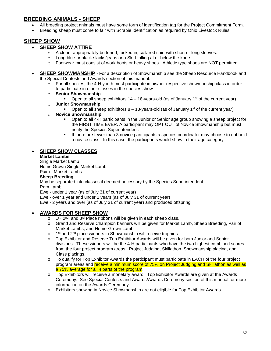### **BREEDING ANIMALS - SHEEP**

- All breeding project animals must have some form of identification tag for the Project Commitment Form.
- Breeding sheep must come to fair with Scrapie Identification as required by Ohio Livestock Rules.

### **SHEEP SHOW**

#### • **SHEEP SHOW ATTIRE**

- $\circ$  A clean, appropriately buttoned, tucked in, collared shirt with short or long sleeves.
- o Long blue or black slacks/jeans or a Skirt falling at or below the knee.
- $\circ$  Footwear must consist of work boots or heavy shoes. Athletic type shoes are NOT permitted.
- **SHEEP SHOWMANSHIP** For a description of Showmanship see the Sheep Resource Handbook and the Special Contests and Awards section of this manual.
	- $\circ$  For all species, the 4-H youth must participate in his/her respective showmanship class in order to participate in other classes in the species show.
	- o **Senior Showmanship**
		- **•** Open to all sheep exhibitors  $14 18$ -years-old (as of January  $1<sup>st</sup>$  of the current year)
	- o **Junior Showmanship**
		- **•** Open to all sheep exhibitors  $8 13$ -years-old (as of January 1<sup>st</sup> of the current year)
	- o **Novice Showmanship**
		- Open to all 4-H participants in the Junior or Senior age group showing a sheep project for the FIRST TIME EVER. A participant may OPT OUT of Novice Showmanship but must notify the Species Superintendent.
		- If there are fewer than 3 novice participants a species coordinator may choose to not hold a novice class. In this case, the participants would show in their age category.

#### • **SHEEP SHOW CLASSES**

**Market Lambs**

Single Market Lamb Home Grown Single Market Lamb Pair of Market Lambs

#### **Sheep Breeding**

May be separated into classes if deemed necessary by the Species Superintendent Ram Lamb

Ewe - under 1 year (as of July 31 of current year)

Ewe - over 1 year and under 2 years (as of July 31 of current year)

Ewe - 2 years and over (as of July 31 of current year) and produced offspring

#### • **AWARDS FOR SHEEP SHOW**

- o 1 st, 2<sup>nd</sup>, and 3<sup>rd</sup> Place ribbons will be given in each sheep class.
- o Grand and Reserve Champion banners will be given for Market Lamb, Sheep Breeding, Pair of Market Lambs, and Home-Grown Lamb.
- o 1<sup>st</sup> and 2<sup>nd</sup> place winners in Showmanship will receive trophies.
- o Top Exhibitor and Reserve Top Exhibitor Awards will be given for both Junior and Senior divisions. These winners will be the 4-H participants who have the two highest combined scores from the four project program areas: Project Judging, Skillathon, Showmanship placing, and Class placings.
- o To qualify for Top Exhibitor Awards the participant must participate in EACH of the four project program areas and receive a minimum score of 75% on Project Judging and Skillathon as well as a 75% average for all 4 parts of the program.
- o Top Exhibitors will receive a monetary award. Top Exhibitor Awards are given at the Awards Ceremony. See Special Contests and Awards/Awards Ceremony section of this manual for more information on the Awards Ceremony.
- o Exhibitors showing in Novice Showmanship are not eligible for Top Exhibitor Awards.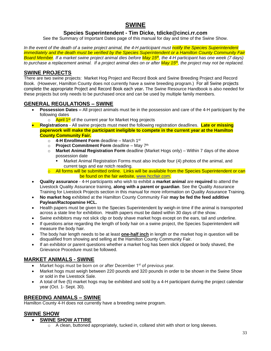## **SWINE**

#### **Species Superintendent - Tim Dicke, tdicke@cinci.rr.com**

<span id="page-35-0"></span>See the Summary of Important Dates page of this manual for day and time of the Swine Show.

*In the event of the death of a swine project animal, the 4-H participant must notify the Species Superintendent immediately and the death must be verified by the Species Superintendent or a Hamilton County Community Fair Board Member. If a market swine project animal dies before May 15th, the 4-H participant has one week (7 days) to purchase a replacement animal. If a project animal dies on or after May 15th , the project may not be replaced.* 

#### **SWINE PROJECTS**

There are two swine projects: Market Hog Project and Record Book and Swine Breeding Project and Record Book. (However, Hamilton County does not currently have a swine breeding program.) For all Swine projects complete the appropriate Project and Record Book each year. The Swine Resource Handbook is also needed for these projects but only needs to be purchased once and can be used by multiple family members.

#### **GENERAL REGULATIONS – SWINE**

- **Possession Dates –** All project animals must be in the possession and care of the 4-H participant by the following dates
	- April 1st of the current year for Market Hog projects
- **Registrations** All swine projects must meet the following registration deadlines. **Late or missing paperwork will make the participant ineligible to compete in the current year at the Hamilton County Community Fair.**
	- o **4-H Enrollment Form** deadline March 1st
	- o **Project Commitment Form** deadline May 7<sup>th</sup>
	- o **Market Animal Registration Form** deadline (Market Hogs only) Within 7 days of the above possession date
		- Market Animal Registration Forms must also include four (4) photos of the animal, and current tags and ear notch reading.
	- All forms will be submitted online. Links will be available from the Species Superintendent or can be found on the fair website, [www.hccfair.com.](http://www.hccfair.com/)
- **Quality assurance** 4-H participants who wish to exhibit a **market animal** are **required** to attend the Livestock Quality Assurance training, **along with a parent or guardian**. See the Quality Assurance Training for Livestock Projects section in this manual for more information on Quality Assurance Training.
- **No market hog** exhibited at the Hamilton County Community Fair **may be fed the feed additive Paylean/Ractopamine HCL.**
- Health papers must be given to the Species Superintendent by weigh-in time if the animal is transported across a state line for exhibition. Health papers must be dated within 30 days of the show.
- Swine exhibitors may not slick clip or body shave market hogs except on the ears, tail and underline.
- If questions arise regarding the length of body hair on a swine project, the Species Superintendent will measure the body hair.
- The body hair length needs to be at least **one-half inch** in length or the market hog in question will be disqualified from showing and selling at the Hamilton County Community Fair.
- If an exhibitor or parent questions whether a market hog has been slick clipped or body shaved, the Grievance Procedure must be followed.

### **MARKET ANIMALS - SWINE**

- Market hogs must be born on or after December 1<sup>st</sup> of previous year.
- Market hogs must weigh between 220 pounds and 320 pounds in order to be shown in the Swine Show or sold in the Livestock Sale.
- A total of five (5) market hogs may be exhibited and sold by a 4-H participant during the project calendar year (Oct. 1- Sept. 30).

#### **BREEDING ANIMALS – SWINE**

Hamilton County 4-H does not currently have a breeding swine program.

#### **SWINE SHOW**

#### • **SWINE SHOW ATTIRE**

 $\circ$  A clean, buttoned appropriately, tucked in, collared shirt with short or long sleeves.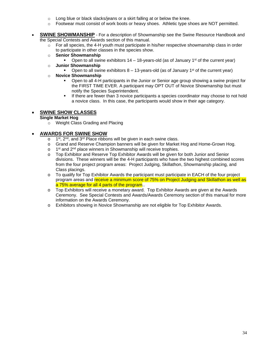- $\circ$  Long blue or black slacks/jeans or a skirt falling at or below the knee.
- o Footwear must consist of work boots or heavy shoes. Athletic type shoes are NOT permitted.
- **SWINE SHOWMANSHIP** For a description of Showmanship see the Swine Resource Handbook and the Special Contests and Awards section of this manual.
	- $\circ$  For all species, the 4-H youth must participate in his/her respective showmanship class in order to participate in other classes in the species show.
	- o **Senior Showmanship**
		- **•** Open to all swine exhibitors  $14 18$ -years-old (as of January  $1<sup>st</sup>$  of the current year)
	- o **Junior Showmanship**
		- Open to all swine exhibitors  $8 13$ -years-old (as of January 1<sup>st</sup> of the current year)
	- o **Novice Showmanship**
		- Open to all 4-H participants in the Junior or Senior age group showing a swine project for the FIRST TIME EVER. A participant may OPT OUT of Novice Showmanship but must notify the Species Superintendent.
		- If there are fewer than 3 novice participants a species coordinator may choose to not hold a novice class. In this case, the participants would show in their age category.

#### • **SWINE SHOW CLASSES**

#### **Single Market Hog**

o Weight Class Grading and Placing

#### • **AWARDS FOR SWINE SHOW**

- o 1<sup>st</sup>, 2<sup>nd</sup>, and 3<sup>rd</sup> Place ribbons will be given in each swine class.
- o Grand and Reserve Champion banners will be given for Market Hog and Home-Grown Hog.
- o 1<sup>st</sup> and 2<sup>nd</sup> place winners in Showmanship will receive trophies.
- o Top Exhibitor and Reserve Top Exhibitor Awards will be given for both Junior and Senior divisions. These winners will be the 4-H participants who have the two highest combined scores from the four project program areas: Project Judging, Skillathon, Showmanship placing, and Class placings.
- o To qualify for Top Exhibitor Awards the participant must participate in EACH of the four project program areas and receive a minimum score of 75% on Project Judging and Skillathon as well as a 75% average for all 4 parts of the program..
- o Top Exhibitors will receive a monetary award. Top Exhibitor Awards are given at the Awards Ceremony. See Special Contests and Awards/Awards Ceremony section of this manual for more information on the Awards Ceremony.
- o Exhibitors showing in Novice Showmanship are not eligible for Top Exhibitor Awards.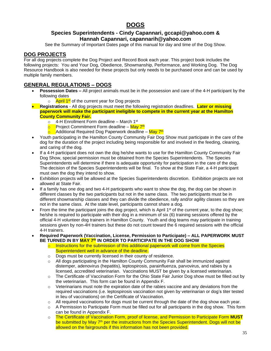## **DOGS**

#### <span id="page-37-0"></span>**Species Superintendents - Cindy Capannari, gccapi@yahoo.com & Hannah Capannari, capannarih@yahoo.com**

See the Summary of Important Dates page of this manual for day and time of the Dog Show.

#### **DOG PROJECTS**

For all dog projects complete the Dog Project and Record Book each year. This project book includes the following projects: You and Your Dog, Obedience, Showmanship, Performance, and Working Dog. The Dog Resource Handbook is also needed for these projects but only needs to be purchased once and can be used by multiple family members.

#### **GENERAL REGULATIONS – DOGS**

- **Possession Dates –** All project animals must be in the possession and care of the 4-H participant by the following dates
	- o April 1<sup>st</sup> of the current year for Dog projects
- **Registrations** All dog projects must meet the following registration deadlines. **Later or missing paperwork will make the participant ineligible to compete in the current year at the Hamilton County Community Fair.**
	- $\circ$  4-H Enrollment Form deadline March 1<sup>st</sup>
	- o Project Commitment Form deadline May 7th
	- <mark>o E</mark>Additional Required Dog Paperwork deadline <mark>May 7<sup>th</sup></mark>
- Youth participating in the Hamilton County Community Fair Dog Show must participate in the care of the dog for the duration of the project including being responsible for and involved in the feeding, cleaning, and caring of the dog.
- If a 4-H participant does not own the dog he/she wants to use for the Hamilton County Community Fair Dog Show, special permission must be obtained from the Species Superintendents. The Species Superintendents will determine if there is adequate opportunity for participation in the care of the dog. The decision of the Species Superintendents will be final. To show at the State Fair, a 4-H participant must own the dog they intend to show.
- Exhibition projects will be allowed at the Species Superintendents discretion. Exhibition projects are not allowed at State Fair.
- If a family has one dog and two 4-H participants who want to show the dog, the dog can be shown in different classes by the two participants but not in the same class. The two participants must be in different showmanship classes and they can divide the obedience, rally and/or agility classes so they are not in the same class. At the state level, participants cannot share a dog.
- From the time the participant joins the dog project, which is April  $1<sup>st</sup>$  of the current year, to the dog show; he/she is required to participate with their dog in a minimum of six (6) training sessions offered by the official 4-H volunteer dog trainers in Hamilton County. Youth and dog teams may participate in training sessions given by non-4H trainers but these do not count toward the 6 required sessions with the official 4-H trainers.
- **Required Paperwork (Vaccination, License, Permission to Participate) – ALL PAPERWORK MUST BE TURNED IN BY MAY 7 th IN ORDER TO PARTICIPATE IN THE DOG SHOW**
	- $\circ$  Instructions for the submission of this additional paperwork will come from the Species Superintendent well in advance of the deadline.
	- o Dogs must be currently licensed in their county of residence.
	- $\circ$  All dogs participating in the Hamilton County Community Fair shall be immunized against distemper, adenovirus (hepatitis), leptospirosis, parainfluenza, parvovirus, and rabies by a licensed, accredited veterinarian. Vaccinations MUST be given by a licensed veterinarian.
	- $\circ$  The Certificate of Vaccination Form for the Ohio State Fair Junior Dog show must be filled out by the veterinarian. This form can be found in Appendix F.
	- $\circ$  Veterinarians must note the expiration date of the rabies vaccine and any deviations from the required vaccinations (i.e. leptospirosis vaccination not given by veterinarian or dog's titer tested in lieu of vaccinations) on the Certificate of Vaccination.
	- $\circ$  All required vaccinations for dogs must be current through the date of the dog show each year.
	- $\circ$  A Permission to Participate Form must be filled out for all participants in the dog show. This form can be found in Appendix F.
	- o The Certificate of Vaccination Form, proof of license, and Permission to Participate Form **MUST** be submitted by May 7<sup>th</sup> per the instructions from the Species Superintendent. Dogs will not be allowed on the fairgrounds if this information has not been provided.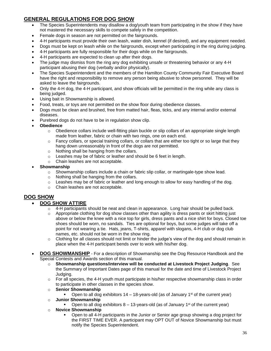## **GENERAL REGULATIONS FOR DOG SHOW**

- The Species Superintendents may disallow a dog/youth team from participating in the show if they have not mastered the necessary skills to compete safely in the competition.
- Female dogs in season are not permitted on the fairgrounds.
- 4-H participants must provide their own leash, water dish, kennel (if desired), and any equipment needed.
- Dogs must be kept on leash while on the fairgrounds, except when participating in the ring during judging.
- 4-H participants are fully responsible for their dogs while on the fairgrounds.
- 4-H participants are expected to clean up after their dogs.
- The judge may dismiss from the ring any dog exhibiting unsafe or threatening behavior or any 4-H participant abusing their dog (verbally and/or physically).
- The Species Superintendent and the members of the Hamilton County Community Fair Executive Board have the right and responsibility to remove any person being abusive to show personnel. They will be asked to leave the fairgrounds.
- Only the 4-H dog, the 4-H participant, and show officials will be permitted in the ring while any class is being judged.
- Using bait in Showmanship is allowed.
- Food, treats, or toys are not permitted on the show floor during obedience classes.
- Dogs must be clean and brushed, free from matted hair, fleas, ticks, and any internal and/or external diseases.
- Purebred dogs do not have to be in regulation show clip.
- **Obedience**
	- $\circ$  Obedience collars include well-fitting plain buckle or slip collars of an appropriate single length made from leather, fabric or chain with two rings, one on each end.
	- $\circ$  Fancy collars, or special training collars, or collars that are either too tight or so large that they hang down unreasonably in front of the dogs are not permitted.
	- o Nothing shall be hanging from the collars.
	- o Leashes may be of fabric or leather and should be 6 feet in length.
	- o Chain leashes are not acceptable.
- **Showmanship**
	- $\circ$  Showmanship collars include a chain or fabric slip collar, or martingale-type show lead.
	- o Nothing shall be hanging from the collars.
	- $\circ$  Leashes may be of fabric or leather and long enough to allow for easy handling of the dog.
	- o Chain leashes are not acceptable.

#### **DOG SHOW**

#### • **DOG SHOW ATTIRE**

- $\circ$  4-H participants should be neat and clean in appearance. Long hair should be pulled back.
- $\circ$  Appropriate clothing for dog show classes other than agility is dress pants or skirt hitting just above or below the knee with a nice top for girls, dress pants and a nice shirt for boys. Closed toe shoes should be worn, no sandals. Ties are optional for boys, but some judges will take off a point for not wearing a tie. Hats, jeans, T-shirts, apparel with slogans, 4-H club or dog club names, etc. should not be worn in the show ring.
- o Clothing for all classes should not limit or hinder the judge's view of the dog and should remain in place when the 4-H participant bends over to work with his/her dog.
- **DOG SHOWMANSHIP** For a description of Showmanship see the Dog Resource Handbook and the Special Contests and Awards section of this manual.
	- o **Showmanship questions/interview will be conducted at Livestock Project Judging**. See the Summary of Important Dates page of this manual for the date and time of Livestock Project Judging.
	- $\circ$  For all species, the 4-H youth must participate in his/her respective showmanship class in order to participate in other classes in the species show.
	- o **Senior Showmanship**
		- **•** Open to all dog exhibitors  $14 18$ -years-old (as of January  $1<sup>st</sup>$  of the current year)
	- o **Junior Showmanship**
		- **•** Open to all dog exhibitors  $8 13$ -years-old (as of January 1<sup>st</sup> of the current year)
	- o **Novice Showmanship**
		- Open to all 4-H participants in the Junior or Senior age group showing a dog project for the FIRST TIME EVER. A participant may OPT OUT of Novice Showmanship but must notify the Species Superintendent.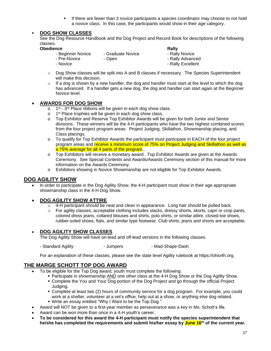If there are fewer than 3 novice participants a species coordinator may choose to not hold a novice class. In this case, the participants would show in their age category.

#### ▪ **DOG SHOW CLASSES**

See the Dog Resource Handbook and the Dog Project and Record Book for descriptions of the following classes.

| <b>Obedience</b>  |                   | Rally             |
|-------------------|-------------------|-------------------|
| - Beginner Novice | - Graduate Novice | - Rally Novice    |
| - Pre-Novice      | - Open            | - Rally Advanced  |
| - Novice          |                   | - Rally Excellent |

- o Dog Show classes will be split into A and B classes if necessary. The Species Superintendent will make this decision.
- $\circ$  If a dog is shown by a new handler, the dog and handler must start at the level to which the dog has advanced. If a handler gets a new dog, the dog and handler can start again at the Beginner Novice level.

#### • **AWARDS FOR DOG SHOW**

- o 1<sup>st</sup> 3<sup>rd</sup> Place ribbons will be given in each dog show class.
- o 1<sup>st</sup> Place trophies will be given in each dog show class.
- o Top Exhibitor and Reserve Top Exhibitor Awards will be given for both Junior and Senior divisions. These winners will be the 4-H participants who have the two highest combined scores from the four project program areas: Project Judging, Skillathon, Showmanship placing, and Class placings.
- o To qualify for Top Exhibitor Awards the participant must participate in EACH of the four project program areas and receive a minimum score of 75% on Project Judging and Skillathon as well as a 75% average for all 4 parts of the program..
- o Top Exhibitors will receive a monetary award. Top Exhibitor Awards are given at the Awards Ceremony. See Special Contests and Awards/Awards Ceremony section of this manual for more information on the Awards Ceremony.
- o Exhibitors showing in Novice Showmanship are not eligible for Top Exhibitor Awards.

#### **DOG AGILITY SHOW**

• In order to participate in the Dog Agility Show, the 4-H participant must show in their age appropriate showmanship class in the 4-H Dog Show.

#### • **DOG AGILITY SHOW ATTIRE**

- $\circ$  4-H participant should be neat and clean in appearance. Long hair should be pulled back.
- o For agility classes, acceptable clothing includes slacks, dressy shorts, skorts, capri or crop pants, colored dress jeans, collared blouses and shirts, polo shirts, or similar attire, closed-toe shoes, rubber-soled shoes, flats, and similar type footwear. Club shirts, jeans and shorts are acceptable.

#### • **DOG AGILITY SHOW CLASSES**

The Dog Agility Show will have on-lead and off-lead versions in the following classes.

- Standard Agility **- Jumpers** - Jumpers - Mad-Shape-Dash

For an explanation of these classes, please see the state level Agility rulebook at https://ohio4h.org.

#### **THE MARGE SCHOTT TOP DOG AWARD**

- To be eligible for the Top Dog award, youth must complete the following:
	- **Participate in showmanship AND one other class at the 4-H Dog Show or the Dog Agility Show.**
	- Complete the You and Your Dog portion of the Dog Project and go through the official Project Judging.
	- Complete at least two (2) hours of community service for a dog program. For example, you could work at a shelter, volunteer at a vet's office, help out at a show, or anything else dog related.
	- Write an essay entitled "Why I Want to be the Top Dog."
- Award will NOT be given to a first-year member as perseverance was a key in Ms. Schott's life.
- Award can be won more than once in a 4-H youth's career.
- **To be considered for this award the 4-H participant must notify the species superintendent that he/she has completed the requirements and submit his/her essay by June 16 th of the current year.**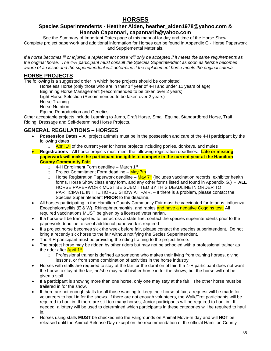## **HORSES**

#### <span id="page-40-0"></span>**Species Superintendents - Heather Alden, heather\_alden1978@yahoo.com & Hannah Capannari, capannarih@yahoo.com**

See the Summary of Important Dates page of this manual for day and time of the Horse Show. Complete project paperwork and additional information for Horses can be found in Appendix G - Horse Paperwork and Supplemental Materials.

*If a horse becomes ill or injured, a replacement horse will only be accepted if it meets the same requirements as the original horse. The 4-H participant must consult the Species Superintendent as soon as he/she becomes aware of an issue and the superintendent will determine if the replacement horse meets the original criteria.*

### **HORSE PROJECTS**

The following is a suggested order in which horse projects should be completed.

Horseless Horse (only those who are in their  $1<sup>st</sup>$  year of 4-H and under 11 years of age)

Beginning Horse Management (Recommended to be taken over 2 years)

Light Horse Selection (Recommended to be taken over 2 years)

Horse Training

Horse Nutrition

Equine Reproduction and Genetics

Other acceptable projects include Learning to Jump, Draft Horse, Small Equine, Standardbred Horse, Trail Riding, Dressage and Self-determined Horse Projects.

### **GENERAL REGULATIONS – HORSES**

- **Possession Dates –** All project animals must be in the possession and care of the 4-H participant by the following dates
	- April 1st of the current year for horse projects including ponies, donkeys, and mules
- **Registrations** All horse projects must meet the following registration deadlines. **Late or missing paperwork will make the participant ineligible to compete in the current year at the Hamilton County Community Fair.**
	- o 4-H Enrollment Form deadline March 1<sup>st</sup>
	- $\circ$  Project Commitment Form deadline May 7th
	- Horse Registration Paperwork deadline <mark>May 7<sup>th</sup> (includes vaccination records, exhibitor health</mark> forms, Horse Show class entry form, and any other forms listed and found in Appendix G.) - **ALL** HORSE PAPERWORK MUST BE SUBMITTED BY THIS DEADLINE IN ORDER TO PARTICIPATE IN THE HORSE SHOW AT FAIR. – If there is a problem, please contact the Species Superintendent **PRIOR** to the deadline.
- All horses participating in the Hamilton County Community Fair must be vaccinated for tetanus, influenza, Encephalomyelitis (E & W), Rhinophneumonitis, and rabies and have a negative Coggins test. All required vaccinations MUST be given by a licensed veterinarian.
- If a horse will be transported to fair across a state line, contact the species superintendents prior to the paperwork deadline to see if additional paperwork is required.
- If a project horse becomes sick the week before fair, please contact the species superintendent. Do not bring a recently sick horse to the fair without notifying the Secies Superintendent.
- The 4-H participant must be providing the riding training to the project horse.
- The project horse may be ridden by other riders but may not be schooled with a professional trainer as the rider after <mark>April 1st.</mark>
	- $\circ$  Professional trainer is defined as someone who makes their living from training horses, giving lessons, or from some combination of activities in the horse industry
- Horses with stalls are required to stay at the fair for the duration of fair. If a 4-H participant does not want the horse to stay at the fair, he/she may haul his/her horse in for the shows, but the horse will not be given a stall.
- If a participant is showing more than one horse, only one may stay at the fair. The other horse must be trailered in for the show.
- If there are not enough stalls for all those wanting to keep their horse at fair, a request will be made for volunteers to haul in for the shows. If there are not enough volunteers, the Walk/Trot participants will be required to haul in. If there are still too many horses, Junior participants will be required to haul in. If needed, a lottery will be used to determined which participants in these categories will be required to haul in.
- Horses using stalls **MUST** be checked into the Fairgrounds on Animal Move-In day and will **NOT** be released until the Animal Release Day except on the recommendation of the official Hamilton County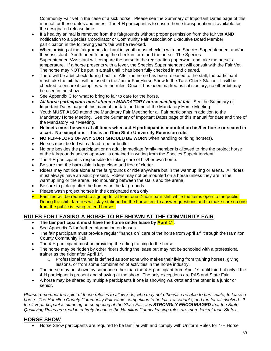Community Fair vet in the case of a sick horse. Please see the Summary of Important Dates page of this manual for these dates and times. The 4-H participant is to ensure horse transportation is available for the designated release time.

- If a healthy animal is removed from the fairgrounds without proper permission from the fair vet **AND** notification to a Species Coordinator or Community Fair Association Executive Board Member, participation in the following year's fair will be revoked.
- When arriving at the fairgrounds for haul in, youth must check in with the Species Superintendent and/or their assistant. Youth need to bring the check in form and the horse. The Species Superintendent/Assistant will compare the horse to the registration paperwork and take the horse's temperature. If a horse presents with a fever, the Species Superintendent will consult with the Fair Vet. The horse may NOT be put in a stall until it has been fully checked in and cleared.
- There will be a bit check during haul in. After the horse has been released to the stall, the participant must take the bit that will be used in the Junior Fair Horse Show to the Tack Check Station. It will be checked to ensure it complies with the rules. Once it has been marked as satisfactory, no other bit may be used in the show.
- See Appendix C for what to bring to fair to care for the horse.
- *All horse participants must attend a MANDATORY horse meeting at fair*. See the Summary of Important Dates page of this manual for date and time of the Mandatory Horse Meeting.
- Youth **MUST ALSO** attend the Mandatory Fair Meeting for all Fair participants in addition to the Mandatory Horse Meeting. See the Summary of Important Dates page of this manual for date and time of the Mandatory Fair Meeting.
- **Helmets must be worn at all times when a 4-H participant is mounted on his/her horse or seated in a cart. No exceptions - this is an Ohio State University Extension rule.**
- **NO FLIP-FLOPS OF ANY SORT SHOULD BE WORN** when handling or riding horse(s).
- Horses must be led with a lead rope or bridle.
- No one besides the participant or an adult immediate family member is allowed to ride the project horse at the fairgrounds unless approval is obtained in writing from the Species Superintendent.
- The 4-H participant is responsible for taking care of his/her own horse.
- Be sure that the barn aisle is kept clean and free of clutter.
- Riders may not ride alone at the fairgrounds or ride anywhere but in the warmup ring or arena. All riders must always have an adult present. Riders may not be mounted on a horse unless they are in the warmup ring or the arena. No mounting between the stalls and the arena.
- Be sure to pick up after the horses on the fairgrounds.
- Please wash project horses in the designated area only.
- Families will be required to sign up for at least one 2-hour barn shift while the fair is open to the public. During the shift, families will stay stationed in the horse tent to answer questions and to make sure no one from the public is trying to feed horses.

### **RULES FOR LEASING A HORSE TO BE SHOWN AT THE COMMUNITY FAIR**

- **The fair participant must have the horse under lease by April 1 st** .
- See Appendix G for further information on leases.
- The fair participant must provide regular "hands on" care of the horse from April 1<sup>st</sup> through the Hamilton County Community Fair.
- The 4-H participant must be providing the riding training to the horse.
- The horse may be ridden by other riders during the lease but may not be schooled with a professional trainer as the rider after April 1<sup>st</sup>.
	- $\circ$  Professional trainer is defined as someone who makes their living from training horses, giving lessons, or from some combination of activities in the horse industry.
- The horse may be shown by someone other than the 4-H participant from April 1st until fair, but only if the 4-H participant is present and showing at the show. The only exceptions are PAS and State Fair.
- A horse may be shared by multiple participants if one is showing walk/trot and the other is a junior or senior.

*Please remember the spirit of these rules is to allow kids, who may not otherwise be able to participate, to lease a horse. The Hamilton County Community Fair wants competition to be fair, reasonable, and fun for all involved. If the 4-H participant is planning on competing at the State Fair, it is STRONGLY ENCOURAGED that the State Qualifying Rules are read in entirety because the Hamilton County leasing rules are more lenient than State's.*

#### **HORSE SHOW**

• Horse Show participants are required to be familiar with and comply with Uniform Rules for 4-H Horse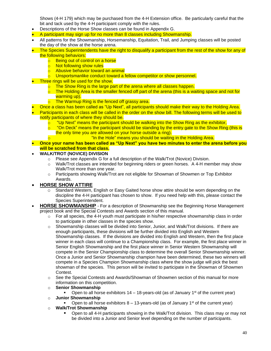Shows (4-H 179) which may be purchased from the 4-H Extension office. Be particularly careful that the bit and tack used by the 4-H participant comply with the rules.

- Descriptions of the Horse Show classes can be found in Appendix G.
- A participant may sign up for no more than 8 classes including Showmanship.
- All patterns for the Showmanship, Horsemanship, Equitation, Trail, and Jumping classes will be posted the day of the show at the horse arena.
- The Species Superintendents have the right to disqualify a participant from the rest of the show for any of the following behaviors:
	- **b** Being out of control on a horse
	- o Not following show rules
	- $\circ$  Abusive behavior toward an animal
	- o Unsportsmanlike conduct toward a fellow competitor or show personnel.
- Three rings will be used for the show.
	- o The Show Ring is the large part of the arena where all classes happen.
	- $\circ$  The Holding Area is the smaller fenced off part of the arena (this is a waiting space and not for warming up).
	- o The Warmup Ring is the fenced off grassy area.
- Once a class has been called as "Up Next", all participants should make their way to the Holding Area.
- Participants in each class will be called in the order on the show bill. The following terms will be used to notify participants of where they should be.
	- $\circ$  "Up Next" means the participant should be walking into the Show Ring as the exhibitor,
	- $\circ$  "On Deck" means the participant should be standing by the entry gate to the Show Ring (this is the only time you are allowed on your horse outside a ring).
		- "In the Hole" means you should be waiting in the Holding Area.
- **Once your name has been called as "Up Next" you have two minutes to enter the arena before you will be scratched from that class.**

#### • **WALK/TROT (NOVICE) DIVISION**

- o Please see Appendix G for a full description of the Walk/Trot (Novice) Division.
- $\circ$  Walk/Trot classes are intended for beginning riders or green horses. A 4-H member may show Walk/Trot more than one year.
- o Participants showing Walk/Trot are not eligible for Showman of Showmen or Top Exhibitor Awards.

#### • **HORSE SHOW ATTIRE**

- $\circ$  Standard Western, English or Easy Gaited horse show attire should be worn depending on the discipline the 4-H participant has chosen to show. If you need help with this, please contact the Species Superintendent.
- **HORSE SHOWMANSHIP** For a description of Showmanship see the Beginning Horse Management project book and the Special Contests and Awards section of this manual.
	- $\circ$  For all species, the 4-H youth must participate in his/her respective showmanship class in order to participate in other classes in the species show.
	- o Showmanship classes will be divided into Senior, Junior, and Walk/Trot divisions. If there are enough participants, these divisions will be further divided into English and Western Showmanship classes. If the divisions are divided into English and Western, then the first place winner in each class will continue to a Championship class. For example, the first place winner in Senior English Showmanship and the first place winner in Senior Western Showmanship will compete in the Senior Championship class to determine the overall Senior Showmanship winner. Once a Junior and Senior Showmanship champion have been determined, these two winners will compete in a Species Champion Showmanship class where the show judge will pick the best showman of the species. This person will be invited to participate in the Showman of Showmen Contest.
	- o See the Special Contests and Awards/Showman of Showmen section of this manual for more information on this competition.
	- o **Senior Showmanship**
		- **•** Open to all horse exhibitors  $14 18$ -years-old (as of January  $1<sup>st</sup>$  of the current year)
	- o **Junior Showmanship**
		- Open to all horse exhibitors  $8 13$ -years-old (as of January 1<sup>st</sup> of the current year)
	- o **Walk/Trot Showmanship**
		- Open to all 4-H participants showing in the Walk/Trot division. This class may or may not be divided into a Junior and Senior level depending on the number of participants.